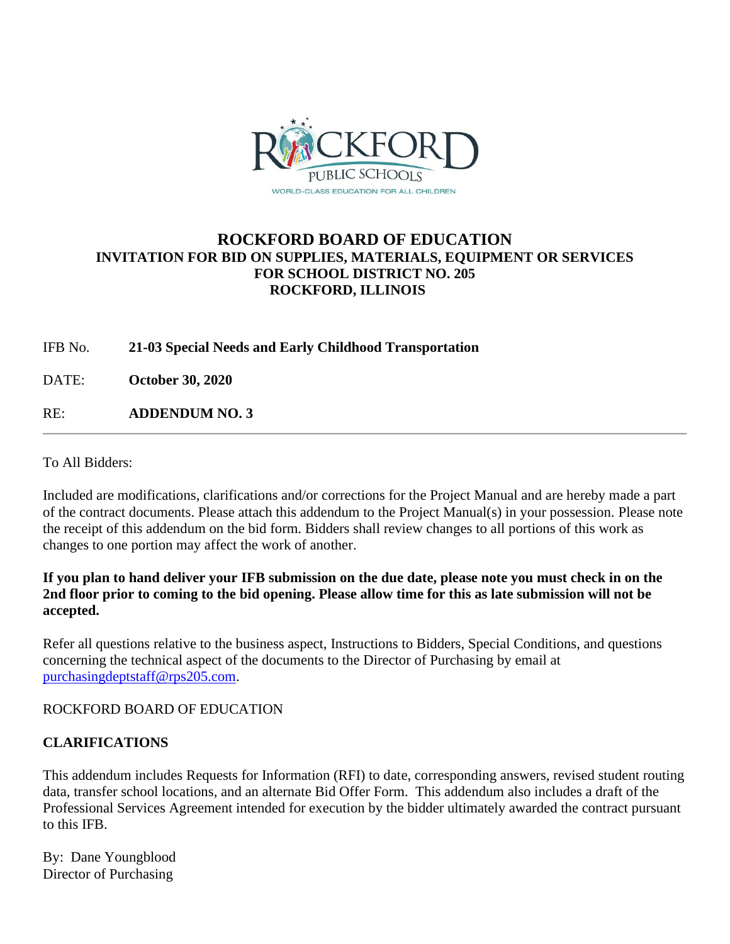

# **ROCKFORD BOARD OF EDUCATION INVITATION FOR BID ON SUPPLIES, MATERIALS, EQUIPMENT OR SERVICES FOR SCHOOL DISTRICT NO. 205 ROCKFORD, ILLINOIS**

IFB No. **21-03 Special Needs and Early Childhood Transportation**

DATE: **October 30, 2020**

RE: **ADDENDUM NO. 3**

To All Bidders:

Included are modifications, clarifications and/or corrections for the Project Manual and are hereby made a part of the contract documents. Please attach this addendum to the Project Manual(s) in your possession. Please note the receipt of this addendum on the bid form. Bidders shall review changes to all portions of this work as changes to one portion may affect the work of another.

# **If you plan to hand deliver your IFB submission on the due date, please note you must check in on the 2nd floor prior to coming to the bid opening. Please allow time for this as late submission will not be accepted.**

Refer all questions relative to the business aspect, Instructions to Bidders, Special Conditions, and questions concerning the technical aspect of the documents to the Director of Purchasing by email at [purchasingdeptstaff@rps205.com.](mailto:purchasingdeptstaff@rps205.com)

ROCKFORD BOARD OF EDUCATION

# **CLARIFICATIONS**

This addendum includes Requests for Information (RFI) to date, corresponding answers, revised student routing data, transfer school locations, and an alternate Bid Offer Form. This addendum also includes a draft of the Professional Services Agreement intended for execution by the bidder ultimately awarded the contract pursuant to this IFB.

By: Dane Youngblood Director of Purchasing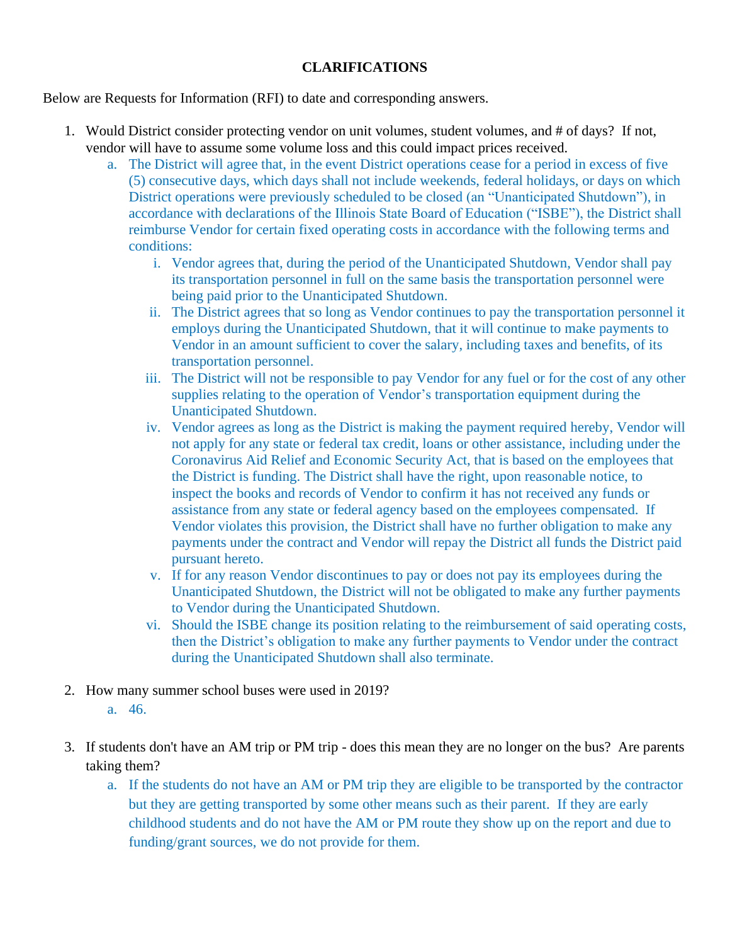# **CLARIFICATIONS**

Below are Requests for Information (RFI) to date and corresponding answers.

- 1. Would District consider protecting vendor on unit volumes, student volumes, and # of days? If not, vendor will have to assume some volume loss and this could impact prices received.
	- a. The District will agree that, in the event District operations cease for a period in excess of five (5) consecutive days, which days shall not include weekends, federal holidays, or days on which District operations were previously scheduled to be closed (an "Unanticipated Shutdown"), in accordance with declarations of the Illinois State Board of Education ("ISBE"), the District shall reimburse Vendor for certain fixed operating costs in accordance with the following terms and conditions:
		- i. Vendor agrees that, during the period of the Unanticipated Shutdown, Vendor shall pay its transportation personnel in full on the same basis the transportation personnel were being paid prior to the Unanticipated Shutdown.
		- ii. The District agrees that so long as Vendor continues to pay the transportation personnel it employs during the Unanticipated Shutdown, that it will continue to make payments to Vendor in an amount sufficient to cover the salary, including taxes and benefits, of its transportation personnel.
		- iii. The District will not be responsible to pay Vendor for any fuel or for the cost of any other supplies relating to the operation of Vendor's transportation equipment during the Unanticipated Shutdown.
		- iv. Vendor agrees as long as the District is making the payment required hereby, Vendor will not apply for any state or federal tax credit, loans or other assistance, including under the Coronavirus Aid Relief and Economic Security Act, that is based on the employees that the District is funding. The District shall have the right, upon reasonable notice, to inspect the books and records of Vendor to confirm it has not received any funds or assistance from any state or federal agency based on the employees compensated. If Vendor violates this provision, the District shall have no further obligation to make any payments under the contract and Vendor will repay the District all funds the District paid pursuant hereto.
		- v. If for any reason Vendor discontinues to pay or does not pay its employees during the Unanticipated Shutdown, the District will not be obligated to make any further payments to Vendor during the Unanticipated Shutdown.
		- vi. Should the ISBE change its position relating to the reimbursement of said operating costs, then the District's obligation to make any further payments to Vendor under the contract during the Unanticipated Shutdown shall also terminate.
- 2. How many summer school buses were used in 2019? a. 46.
- 3. If students don't have an AM trip or PM trip does this mean they are no longer on the bus? Are parents taking them?
	- a. If the students do not have an AM or PM trip they are eligible to be transported by the contractor but they are getting transported by some other means such as their parent. If they are early childhood students and do not have the AM or PM route they show up on the report and due to funding/grant sources, we do not provide for them.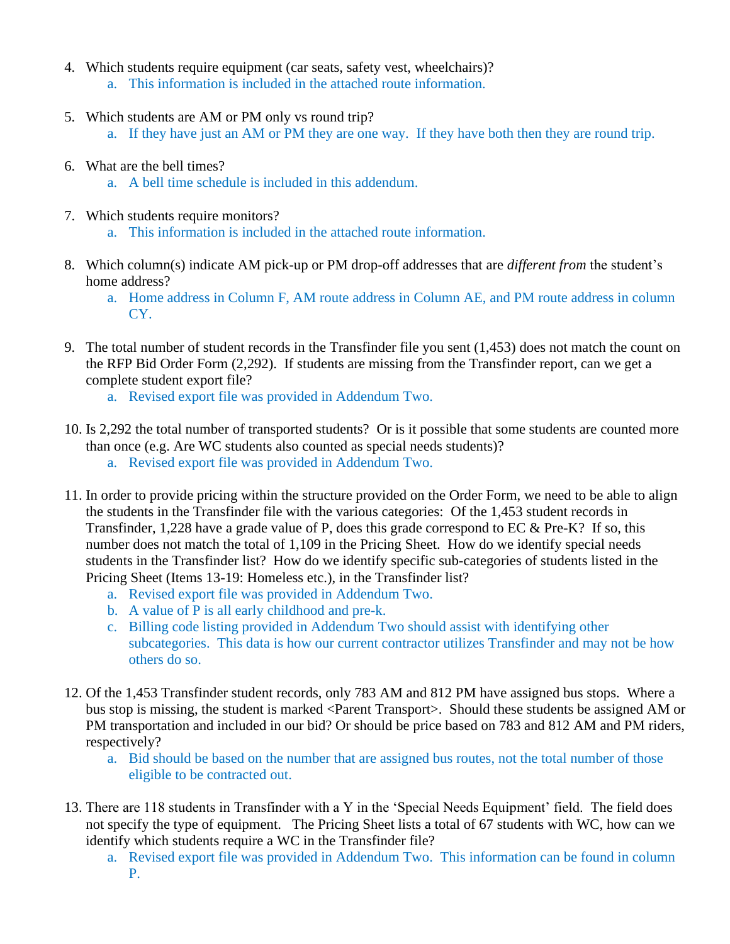- 4. Which students require equipment (car seats, safety vest, wheelchairs)?
	- a. This information is included in the attached route information.
- 5. Which students are AM or PM only vs round trip?
	- a. If they have just an AM or PM they are one way. If they have both then they are round trip.
- 6. What are the bell times?
	- a. A bell time schedule is included in this addendum.
- 7. Which students require monitors?
	- a. This information is included in the attached route information.
- 8. Which column(s) indicate AM pick-up or PM drop-off addresses that are *different from* the student's home address?
	- a. Home address in Column F, AM route address in Column AE, and PM route address in column CY.
- 9. The total number of student records in the Transfinder file you sent (1,453) does not match the count on the RFP Bid Order Form (2,292). If students are missing from the Transfinder report, can we get a complete student export file?
	- a. Revised export file was provided in Addendum Two.
- 10. Is 2,292 the total number of transported students? Or is it possible that some students are counted more than once (e.g. Are WC students also counted as special needs students)?
	- a. Revised export file was provided in Addendum Two.
- 11. In order to provide pricing within the structure provided on the Order Form, we need to be able to align the students in the Transfinder file with the various categories: Of the 1,453 student records in Transfinder, 1,228 have a grade value of P, does this grade correspond to EC & Pre-K? If so, this number does not match the total of 1,109 in the Pricing Sheet. How do we identify special needs students in the Transfinder list? How do we identify specific sub-categories of students listed in the Pricing Sheet (Items 13-19: Homeless etc.), in the Transfinder list?
	- a. Revised export file was provided in Addendum Two.
	- b. A value of P is all early childhood and pre-k.
	- c. Billing code listing provided in Addendum Two should assist with identifying other subcategories. This data is how our current contractor utilizes Transfinder and may not be how others do so.
- 12. Of the 1,453 Transfinder student records, only 783 AM and 812 PM have assigned bus stops. Where a bus stop is missing, the student is marked <Parent Transport>. Should these students be assigned AM or PM transportation and included in our bid? Or should be price based on 783 and 812 AM and PM riders, respectively?
	- a. Bid should be based on the number that are assigned bus routes, not the total number of those eligible to be contracted out.
- 13. There are 118 students in Transfinder with a Y in the 'Special Needs Equipment' field. The field does not specify the type of equipment. The Pricing Sheet lists a total of 67 students with WC, how can we identify which students require a WC in the Transfinder file?
	- a. Revised export file was provided in Addendum Two. This information can be found in column P.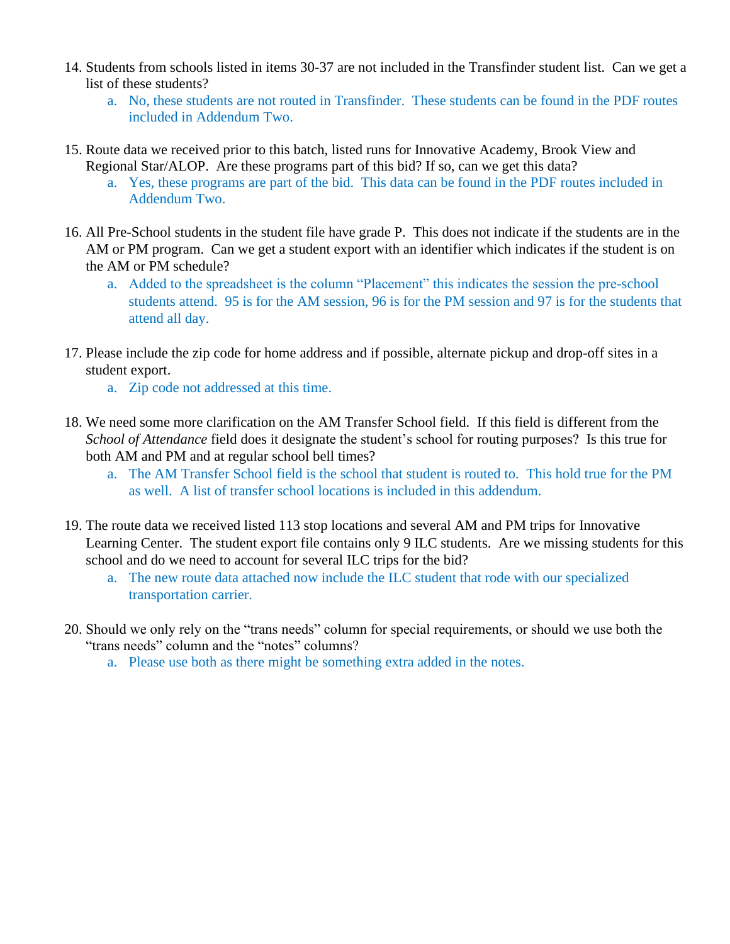- 14. Students from schools listed in items 30-37 are not included in the Transfinder student list. Can we get a list of these students?
	- a. No, these students are not routed in Transfinder. These students can be found in the PDF routes included in Addendum Two.
- 15. Route data we received prior to this batch, listed runs for Innovative Academy, Brook View and Regional Star/ALOP. Are these programs part of this bid? If so, can we get this data?
	- a. Yes, these programs are part of the bid. This data can be found in the PDF routes included in Addendum Two.
- 16. All Pre-School students in the student file have grade P. This does not indicate if the students are in the AM or PM program. Can we get a student export with an identifier which indicates if the student is on the AM or PM schedule?
	- a. Added to the spreadsheet is the column "Placement" this indicates the session the pre-school students attend. 95 is for the AM session, 96 is for the PM session and 97 is for the students that attend all day.
- 17. Please include the zip code for home address and if possible, alternate pickup and drop-off sites in a student export.
	- a. Zip code not addressed at this time.
- 18. We need some more clarification on the AM Transfer School field. If this field is different from the *School of Attendance* field does it designate the student's school for routing purposes? Is this true for both AM and PM and at regular school bell times?
	- a. The AM Transfer School field is the school that student is routed to. This hold true for the PM as well. A list of transfer school locations is included in this addendum.
- 19. The route data we received listed 113 stop locations and several AM and PM trips for Innovative Learning Center. The student export file contains only 9 ILC students. Are we missing students for this school and do we need to account for several ILC trips for the bid?
	- a. The new route data attached now include the ILC student that rode with our specialized transportation carrier.
- 20. Should we only rely on the "trans needs" column for special requirements, or should we use both the "trans needs" column and the "notes" columns?
	- a. Please use both as there might be something extra added in the notes.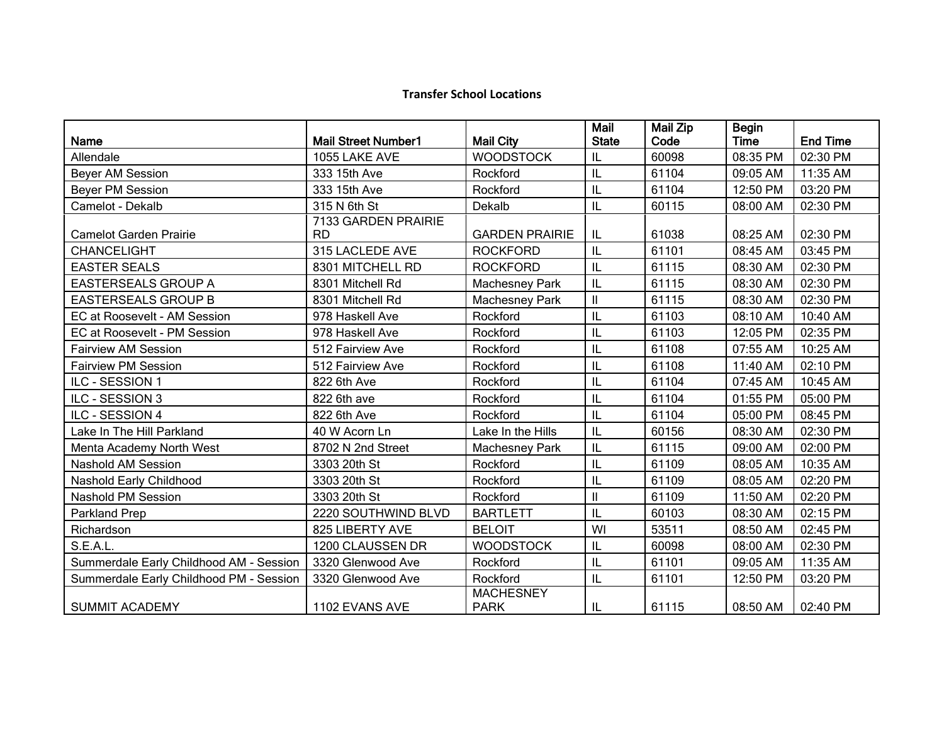# **Transfer School Locations**

| Name                                    | <b>Mail Street Number1</b>          | <b>Mail City</b>                | Mail<br><b>State</b>                  | $\overline{\mathsf{M}}$ ail Zip<br>Code | <b>Begin</b><br><b>Time</b> | <b>End Time</b> |
|-----------------------------------------|-------------------------------------|---------------------------------|---------------------------------------|-----------------------------------------|-----------------------------|-----------------|
| Allendale                               | 1055 LAKE AVE                       | <b>WOODSTOCK</b>                | IL                                    | 60098                                   | 08:35 PM                    | 02:30 PM        |
| Beyer AM Session                        | 333 15th Ave                        | Rockford                        | IL                                    | 61104                                   | 09:05 AM                    | 11:35 AM        |
|                                         |                                     |                                 | IL                                    |                                         |                             |                 |
| <b>Beyer PM Session</b>                 | 333 15th Ave                        | Rockford                        |                                       | 61104                                   | 12:50 PM                    | 03:20 PM        |
| Camelot - Dekalb                        | 315 N 6th St<br>7133 GARDEN PRAIRIE | Dekalb                          | IL                                    | 60115                                   | 08:00 AM                    | 02:30 PM        |
| <b>Camelot Garden Prairie</b>           | <b>RD</b>                           | <b>GARDEN PRAIRIE</b>           | IL                                    | 61038                                   | 08:25 AM                    | 02:30 PM        |
| <b>CHANCELIGHT</b>                      | 315 LACLEDE AVE                     | <b>ROCKFORD</b>                 | IL                                    | 61101                                   | 08:45 AM                    | 03:45 PM        |
| <b>EASTER SEALS</b>                     | 8301 MITCHELL RD                    | <b>ROCKFORD</b>                 | L                                     | 61115                                   | 08:30 AM                    | 02:30 PM        |
| <b>EASTERSEALS GROUP A</b>              | 8301 Mitchell Rd                    | <b>Machesney Park</b>           | L                                     | 61115                                   | 08:30 AM                    | 02:30 PM        |
| <b>EASTERSEALS GROUP B</b>              | 8301 Mitchell Rd                    | <b>Machesney Park</b>           | $\mathbf{I}$                          | 61115                                   | 08:30 AM                    | 02:30 PM        |
| EC at Roosevelt - AM Session            | 978 Haskell Ave                     | Rockford                        | L                                     | 61103                                   | 08:10 AM                    | 10:40 AM        |
| EC at Roosevelt - PM Session            | 978 Haskell Ave                     | Rockford                        | IL                                    | 61103                                   | 12:05 PM                    | 02:35 PM        |
| <b>Fairview AM Session</b>              | 512 Fairview Ave                    | Rockford                        | $\mathsf{I}\mathsf{L}$                | 61108                                   | 07:55 AM                    | 10:25 AM        |
| <b>Fairview PM Session</b>              | 512 Fairview Ave                    | Rockford                        | IL                                    | 61108                                   | 11:40 AM                    | 02:10 PM        |
| ILC - SESSION 1                         | 822 6th Ave                         | Rockford                        | IL                                    | 61104                                   | 07:45 AM                    | 10:45 AM        |
| ILC - SESSION 3                         | 822 6th ave                         | Rockford                        | IL                                    | 61104                                   | 01:55 PM                    | 05:00 PM        |
| ILC - SESSION 4                         | 822 6th Ave                         | Rockford                        | IL                                    | 61104                                   | 05:00 PM                    | 08:45 PM        |
| Lake In The Hill Parkland               | 40 W Acorn Ln                       | Lake In the Hills               | IL                                    | 60156                                   | 08:30 AM                    | 02:30 PM        |
| Menta Academy North West                | 8702 N 2nd Street                   | Machesney Park                  | IL                                    | 61115                                   | 09:00 AM                    | 02:00 PM        |
| <b>Nashold AM Session</b>               | 3303 20th St                        | Rockford                        | IL                                    | 61109                                   | 08:05 AM                    | 10:35 AM        |
| Nashold Early Childhood                 | 3303 20th St                        | Rockford                        | IL                                    | 61109                                   | 08:05 AM                    | 02:20 PM        |
| <b>Nashold PM Session</b>               | 3303 20th St                        | Rockford                        | $\begin{array}{c} \hline \end{array}$ | 61109                                   | 11:50 AM                    | 02:20 PM        |
| Parkland Prep                           | 2220 SOUTHWIND BLVD                 | <b>BARTLETT</b>                 | IL                                    | 60103                                   | 08:30 AM                    | 02:15 PM        |
| Richardson                              | 825 LIBERTY AVE                     | <b>BELOIT</b>                   | WI                                    | 53511                                   | 08:50 AM                    | 02:45 PM        |
| <b>S.E.A.L.</b>                         | 1200 CLAUSSEN DR                    | <b>WOODSTOCK</b>                | L                                     | 60098                                   | 08:00 AM                    | 02:30 PM        |
| Summerdale Early Childhood AM - Session | 3320 Glenwood Ave                   | Rockford                        | L                                     | 61101                                   | 09:05 AM                    | 11:35 AM        |
| Summerdale Early Childhood PM - Session | 3320 Glenwood Ave                   | Rockford                        | L                                     | 61101                                   | 12:50 PM                    | 03:20 PM        |
| <b>SUMMIT ACADEMY</b>                   | 1102 EVANS AVE                      | <b>MACHESNEY</b><br><b>PARK</b> | IL                                    | 61115                                   | 08:50 AM                    | 02:40 PM        |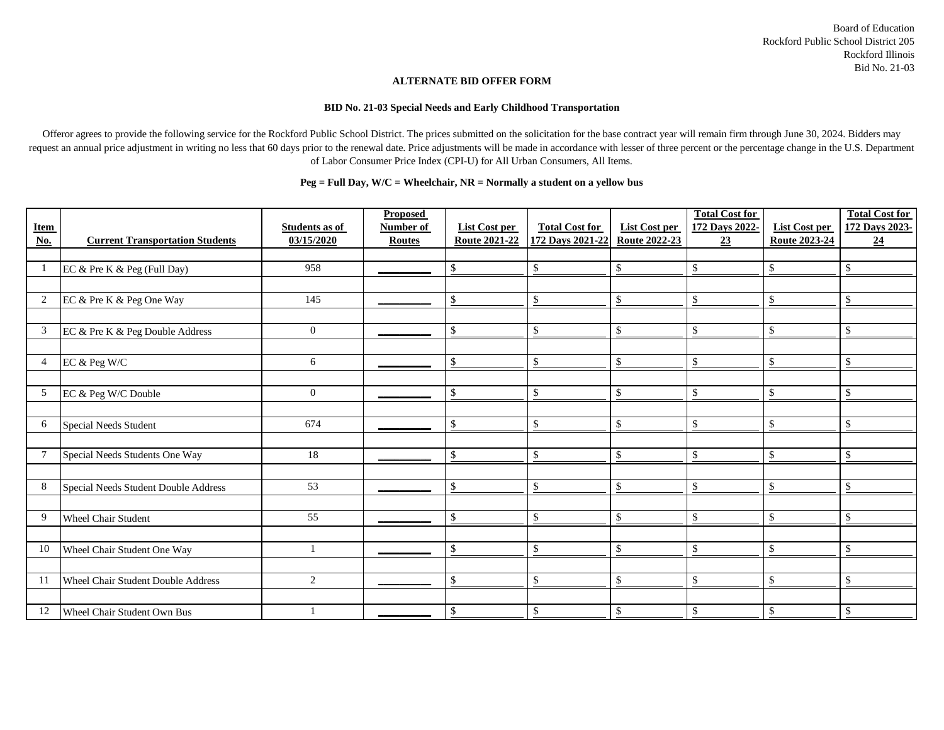#### **ALTERNATE BID OFFER FORM**

#### **BID No. 21-03 Special Needs and Early Childhood Transportation**

Offeror agrees to provide the following service for the Rockford Public School District. The prices submitted on the solicitation for the base contract year will remain firm through June 30, 2024. Bidders may request an annual price adjustment in writing no less that 60 days prior to the renewal date. Price adjustments will be made in accordance with lesser of three percent or the percentage change in the U.S. Department of Labor Consumer Price Index (CPI-U) for All Urban Consumers, All Items.

| <b>Item</b><br>$\underline{\textbf{No}}$ | <b>Current Transportation Students</b>    | <b>Students as of</b><br>03/15/2020 | <b>Proposed</b><br>Number of<br><b>Routes</b> | List Cost per<br><b>Route 2021-22</b> | <b>Total Cost for</b><br>172 Days 2021-22 | List Cost per<br><b>Route 2022-23</b> | <b>Total Cost for</b><br>172 Days 2022-<br>23 | List Cost per<br><b>Route 2023-24</b> | <b>Total Cost for</b><br>172 Days 2023-<br>24 |
|------------------------------------------|-------------------------------------------|-------------------------------------|-----------------------------------------------|---------------------------------------|-------------------------------------------|---------------------------------------|-----------------------------------------------|---------------------------------------|-----------------------------------------------|
|                                          |                                           |                                     |                                               |                                       |                                           |                                       |                                               |                                       |                                               |
|                                          | EC & Pre K & Peg (Full Day)               | 958                                 |                                               |                                       | -\$                                       | \$                                    | \$                                            | \$                                    | \$                                            |
|                                          |                                           |                                     |                                               |                                       |                                           |                                       |                                               |                                       |                                               |
| $\overline{2}$                           | EC & Pre K & Peg One Way                  | 145                                 |                                               | $\mathcal{S}$                         | $\mathcal{S}$                             | $\mathbf{\$}$                         | \$                                            | \$                                    | \$                                            |
|                                          |                                           |                                     |                                               |                                       |                                           |                                       |                                               |                                       |                                               |
| 3                                        | EC & Pre K & Peg Double Address           | $\overline{0}$                      |                                               | $\mathcal{S}$                         | $\mathcal{S}$                             | $\mathbf{\$}$                         | \$                                            | \$                                    | \$.                                           |
|                                          |                                           |                                     |                                               |                                       |                                           |                                       |                                               |                                       |                                               |
| $\overline{4}$                           | EC & Peg W/C                              | 6                                   |                                               | <sup>\$</sup>                         | $\mathcal{S}$                             | $\mathcal{S}$                         | \$                                            | \$                                    | \$                                            |
|                                          |                                           |                                     |                                               |                                       |                                           |                                       |                                               |                                       |                                               |
| $5^{\circ}$                              | EC & Peg W/C Double                       | $\overline{0}$                      |                                               | <sup>\$</sup>                         | \$                                        | $\mathcal{S}$                         | \$                                            | \$                                    | $\mathbb{S}$                                  |
|                                          |                                           |                                     |                                               |                                       |                                           |                                       |                                               |                                       |                                               |
| 6                                        | <b>Special Needs Student</b>              | 674                                 |                                               | <sup>\$</sup>                         | $\mathbf{\$}$                             | $\mathbf{\$}$                         | \$                                            | \$                                    | \$                                            |
|                                          |                                           |                                     |                                               |                                       |                                           |                                       |                                               |                                       |                                               |
| $\tau$                                   | Special Needs Students One Way            | 18                                  |                                               | -S                                    | $\mathcal{S}$                             | $\mathcal{S}$                         | \$                                            | \$                                    | \$                                            |
|                                          |                                           |                                     |                                               |                                       |                                           |                                       |                                               |                                       |                                               |
| 8                                        | Special Needs Student Double Address      | 53                                  |                                               | $\mathcal{S}$                         | $\mathcal{S}$                             | $\mathcal{S}$                         | $\mathsf{\$}$                                 | \$                                    | \$                                            |
|                                          |                                           |                                     |                                               |                                       |                                           |                                       |                                               |                                       |                                               |
| 9                                        | <b>Wheel Chair Student</b>                | 55                                  |                                               | $\mathcal{S}$                         | $\mathcal{S}$                             | $\mathcal{S}$                         | \$                                            | \$                                    | \$                                            |
|                                          |                                           |                                     |                                               |                                       |                                           |                                       |                                               |                                       |                                               |
| 10                                       | Wheel Chair Student One Way               |                                     |                                               | S                                     | -\$                                       | -\$                                   | \$                                            | \$                                    | $\mathbb{S}$                                  |
|                                          |                                           |                                     |                                               |                                       |                                           |                                       |                                               |                                       |                                               |
| 11                                       | <b>Wheel Chair Student Double Address</b> | $\overline{2}$                      |                                               | <sup>\$</sup>                         | \$                                        | $\mathcal{S}$                         | \$                                            | \$                                    | $\mathbb{S}$                                  |
|                                          |                                           |                                     |                                               |                                       |                                           |                                       |                                               |                                       |                                               |
| 12                                       | Wheel Chair Student Own Bus               | -1                                  |                                               | \$                                    | \$                                        | \$                                    | \$                                            | \$                                    | \$                                            |

#### **Peg = Full Day, W/C = Wheelchair, NR = Normally a student on a yellow bus**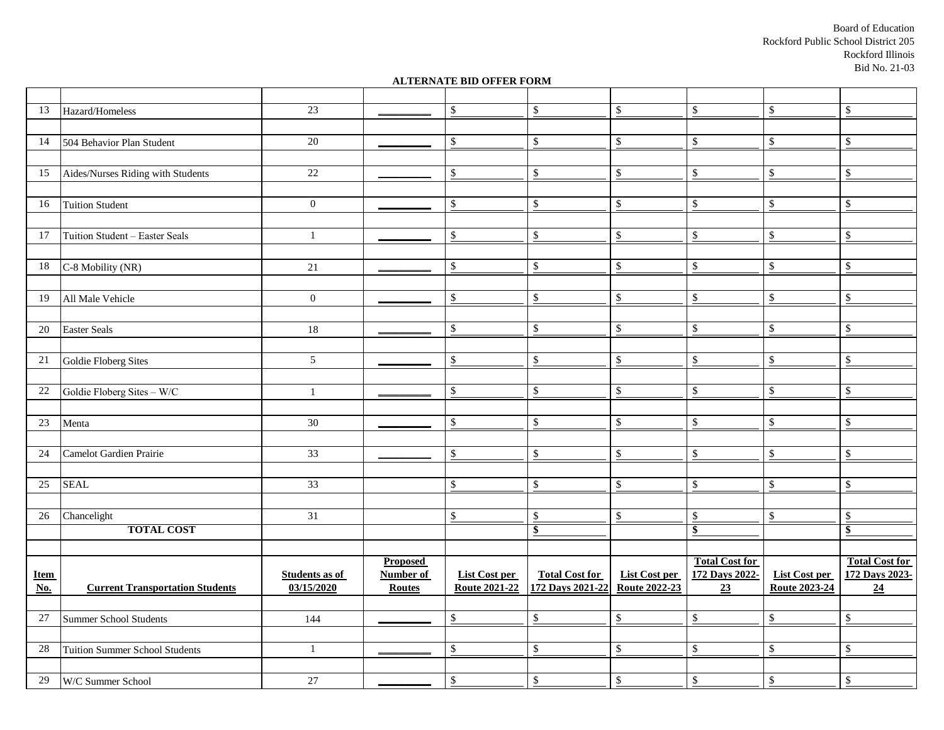Board of Education Rockford Public School District 205 Rockford Illinois Bid No. 21-03

#### **ALTERNATE BID OFFER FORM**

| 13                        | Hazard/Homeless                        | 23                    |                  | \$                   | \$                    | $\$\,$                            | $\,$                  | \$                   | $\mathbb{S}$          |
|---------------------------|----------------------------------------|-----------------------|------------------|----------------------|-----------------------|-----------------------------------|-----------------------|----------------------|-----------------------|
|                           |                                        |                       |                  |                      |                       |                                   |                       |                      |                       |
| 14                        | 504 Behavior Plan Student              | 20                    |                  | $\mathbb{S}$         | \$                    | $\mathbb{S}$                      | \$                    | $\mathbb{S}$         | $\mathsf{\$}$         |
|                           |                                        |                       |                  |                      |                       |                                   |                       |                      |                       |
| 15                        | Aides/Nurses Riding with Students      | $\overline{22}$       |                  | \$                   | \$                    | $\mathbb{S}$                      | $\$$                  | \$                   | \$                    |
|                           |                                        |                       |                  |                      |                       |                                   |                       |                      |                       |
| 16                        | <b>Tuition Student</b>                 | $\boldsymbol{0}$      |                  | \$                   | \$                    | $\mathbb{S}$                      | $\$$                  | \$                   | \$                    |
|                           |                                        |                       |                  |                      |                       |                                   |                       |                      |                       |
| 17                        | Tuition Student - Easter Seals         | $\mathbf{1}$          |                  | $\$$                 | \$                    | $\mathbb{S}$                      | $\mathbb{S}$          | \$                   | \$                    |
|                           |                                        |                       |                  |                      |                       |                                   |                       |                      |                       |
| 18                        | C-8 Mobility (NR)                      | 21                    |                  | $\$$                 | \$                    | $\mathbb{S}$                      | $\mathbb{S}$          | \$                   | \$                    |
|                           |                                        |                       |                  |                      |                       |                                   |                       |                      |                       |
| 19                        | All Male Vehicle                       | $\overline{0}$        |                  | \$                   | $\$$                  | $\mathbb{S}$                      | $\,$                  | $\mathbb{S}$         | \$                    |
|                           |                                        |                       |                  |                      |                       |                                   |                       |                      |                       |
| 20                        | <b>Easter Seals</b>                    | 18                    |                  | \$                   | \$                    | $\mathbb{S}$                      | \$                    | \$                   | \$                    |
|                           |                                        |                       |                  |                      |                       |                                   |                       |                      |                       |
| $21\,$                    | Goldie Floberg Sites                   | $\mathfrak{S}$        |                  | $\mathbb{S}$         | \$                    | $\mathbb{S}$                      | $\$$                  | $\mathbb{S}$         | \$                    |
|                           |                                        |                       |                  |                      |                       |                                   |                       |                      |                       |
| $22\,$                    | Goldie Floberg Sites - W/C             | $\mathbf{1}$          |                  | $\$$                 | $\mathbb{S}$          | $\mathbb{S}$                      | \$                    | $\mathbb{S}$         | $\mathbb S$           |
|                           |                                        |                       |                  |                      |                       |                                   |                       |                      |                       |
| 23                        | Menta                                  | 30                    |                  | \$                   | $\mathbb{S}$          | $\mathbb{S}$                      | \$                    | \$                   | \$                    |
|                           |                                        |                       |                  |                      |                       |                                   |                       |                      |                       |
| 24                        | Camelot Gardien Prairie                | $\overline{33}$       |                  | \$                   | $\mathbb{S}$          | $\mathbb{S}$                      | \$                    | \$                   | $\mathbb{S}$          |
|                           |                                        |                       |                  |                      |                       |                                   |                       |                      |                       |
| 25                        | <b>SEAL</b>                            | $\overline{33}$       |                  | \$                   | \$                    | $\underline{\$}$                  | $\mathbb S$           | $\mathbb{S}$         | \$                    |
|                           |                                        |                       |                  |                      |                       |                                   |                       |                      |                       |
| 26                        | Chancelight                            | 31                    |                  | $\$$                 | $\$\,$                | $\mathbb{S}$                      | $\mathbb{S}$          | $\mathbb{S}$         | \$                    |
|                           | <b>TOTAL COST</b>                      |                       |                  |                      | $\bullet$             |                                   | $\frac{1}{2}$         |                      | \$                    |
|                           |                                        |                       |                  |                      |                       |                                   |                       |                      |                       |
|                           |                                        |                       | <b>Proposed</b>  |                      |                       |                                   | <b>Total Cost for</b> |                      | <b>Total Cost for</b> |
| <b>Item</b>               |                                        | <b>Students as of</b> | <b>Number of</b> | <b>List Cost per</b> | <b>Total Cost for</b> | <b>List Cost per</b>              | 172 Days 2022-        | <b>List Cost per</b> | 172 Days 2023-        |
| $\underline{\textbf{No}}$ | <b>Current Transportation Students</b> | 03/15/2020            | <b>Routes</b>    | <b>Route 2021-22</b> | 172 Days 2021-22      | <b>Route 2022-23</b>              | 23                    | <b>Route 2023-24</b> | 24                    |
|                           |                                        |                       |                  |                      |                       |                                   |                       |                      |                       |
| $\overline{27}$           | Summer School Students                 | 144                   |                  | $\mathbb{S}$         | \$                    | $\frac{\mathcal{L}}{\mathcal{L}}$ | $\mathbb{S}$          | $\mathbb{S}$         | $\mathbb{S}$          |
|                           |                                        |                       |                  |                      |                       |                                   |                       |                      |                       |
| $28\,$                    | Tuition Summer School Students         | $\mathbf{1}$          |                  | $\mathbb{S}$         | $\mathbb{S}$          | $\mathbb{S}$                      | $\mathbb S$           | $\mathbb{S}$         | $\mathbb S$           |
|                           |                                        |                       |                  |                      |                       |                                   |                       |                      |                       |
| 29                        | W/C Summer School                      | $27\,$                |                  | $\mathbb{S}$         | $\mathbb{S}$          | $\mathbb{S}$                      | $\,$                  | $\mathbb{S}$         | \$                    |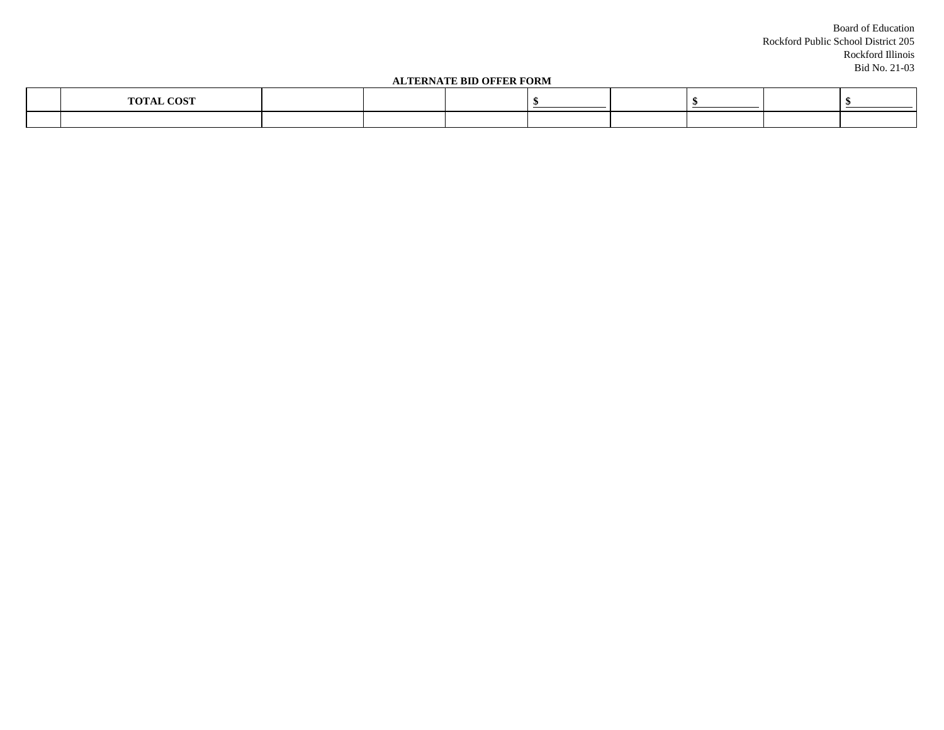Board of Education Rockford Public School District 205 Rockford Illinois Bid No. 21-03

#### **ALTERNATE BID OFFER FORM**

| ALIENNAIE DID OFFER FORM |                                   |  |  |  |  |  |  |  |
|--------------------------|-----------------------------------|--|--|--|--|--|--|--|
|                          | ו ריחכיד<br>$m \wedge m$ $\cdots$ |  |  |  |  |  |  |  |
|                          |                                   |  |  |  |  |  |  |  |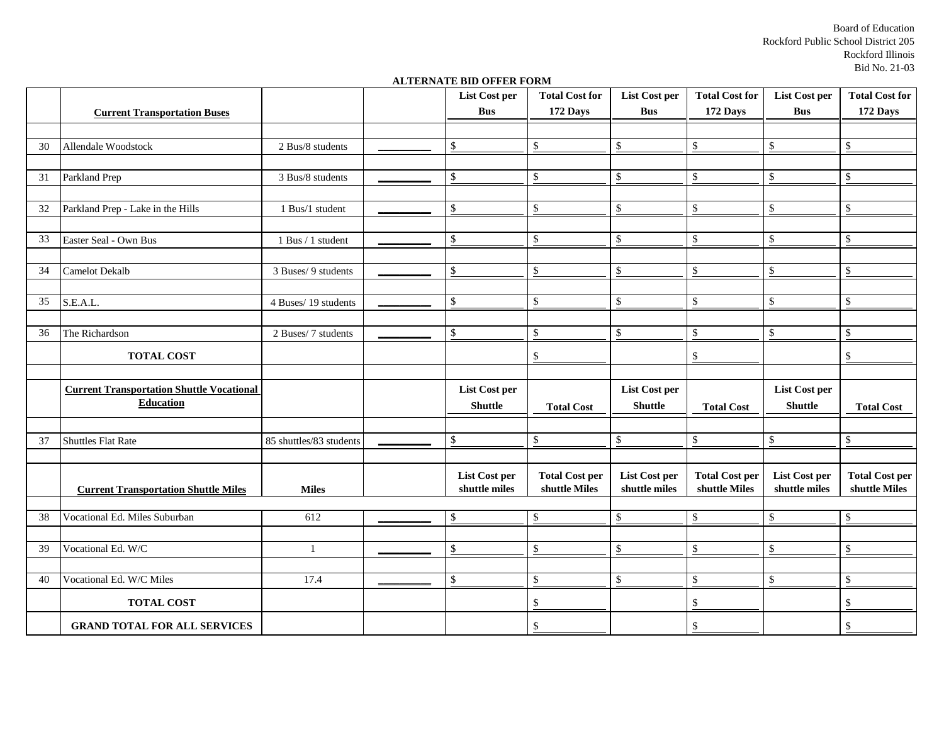Board of Education Rockford Public School District 205 Rockford Illinois Bid No. 21-03

#### **ALTERNATE BID OFFER FORM**

|    |                                                  |                         | List Cost per                  | <b>Total Cost for</b>                  | <b>List Cost per</b>                  | <b>Total Cost for</b>                  | <b>List Cost per</b>           | <b>Total Cost for</b>                  |
|----|--------------------------------------------------|-------------------------|--------------------------------|----------------------------------------|---------------------------------------|----------------------------------------|--------------------------------|----------------------------------------|
|    | <b>Current Transportation Buses</b>              |                         | <b>Bus</b>                     | 172 Days                               | <b>Bus</b>                            | 172 Days                               | <b>Bus</b>                     | 172 Days                               |
|    |                                                  |                         |                                |                                        |                                       |                                        |                                |                                        |
| 30 | Allendale Woodstock                              | 2 Bus/8 students        | \$                             | \$                                     | $\mathbb{S}$                          | \$                                     | $\$$                           | \$                                     |
|    |                                                  |                         |                                |                                        |                                       |                                        |                                |                                        |
| 31 | Parkland Prep                                    | 3 Bus/8 students        | \$                             | \$                                     | $\mathbb{S}$                          | $\mathbb{S}$                           | $\mathbb{S}$                   | \$                                     |
|    |                                                  |                         |                                |                                        |                                       |                                        |                                |                                        |
| 32 | Parkland Prep - Lake in the Hills                | 1 Bus/1 student         | \$                             | \$                                     | $\mathcal{S}$                         | \$                                     | \$                             | $\mathcal{S}$                          |
|    |                                                  |                         |                                |                                        |                                       |                                        |                                |                                        |
| 33 | Easter Seal - Own Bus                            | 1 Bus / 1 student       | \$                             | $\mathbb{S}$                           | \$                                    | \$                                     | \$                             | \$                                     |
|    |                                                  |                         |                                |                                        |                                       |                                        |                                |                                        |
| 34 | <b>Camelot Dekalb</b>                            | 3 Buses/ 9 students     | \$                             | $\mathbb{S}$                           | $\mathbb{S}$                          | \$                                     | \$                             | \$                                     |
|    |                                                  |                         |                                |                                        |                                       |                                        |                                |                                        |
| 35 | S.E.A.L.                                         | 4 Buses/19 students     | \$                             | \$                                     | $\mathcal{S}$                         | \$                                     | \$                             | \$                                     |
|    |                                                  |                         |                                |                                        |                                       |                                        |                                |                                        |
| 36 | The Richardson                                   | 2 Buses/ 7 students     | \$                             | $\mathcal{S}$                          | $\mathbb{S}$                          | \$                                     | \$                             | $\mathcal{S}$                          |
|    | <b>TOTAL COST</b>                                |                         |                                | $\$$                                   |                                       | \$                                     |                                | \$                                     |
|    |                                                  |                         |                                |                                        |                                       |                                        |                                |                                        |
|    | <b>Current Transportation Shuttle Vocational</b> |                         | <b>List Cost per</b>           |                                        | <b>List Cost per</b>                  |                                        | <b>List Cost per</b>           |                                        |
|    | <b>Education</b>                                 |                         | <b>Shuttle</b>                 | <b>Total Cost</b>                      | <b>Shuttle</b>                        | <b>Total Cost</b>                      | <b>Shuttle</b>                 | <b>Total Cost</b>                      |
|    |                                                  |                         |                                |                                        |                                       |                                        |                                |                                        |
| 37 | <b>Shuttles Flat Rate</b>                        | 85 shuttles/83 students | \$                             | $\$$                                   | $\mathbb{S}$                          | \$                                     | $\mathbb{S}$                   | \$                                     |
|    |                                                  |                         |                                |                                        |                                       |                                        |                                |                                        |
|    | <b>Current Transportation Shuttle Miles</b>      | <b>Miles</b>            | List Cost per<br>shuttle miles | <b>Total Cost per</b><br>shuttle Miles | <b>List Cost per</b><br>shuttle miles | <b>Total Cost per</b><br>shuttle Miles | List Cost per<br>shuttle miles | <b>Total Cost per</b><br>shuttle Miles |
|    |                                                  |                         |                                |                                        |                                       |                                        |                                |                                        |
| 38 | Vocational Ed. Miles Suburban                    | 612                     | \$                             | \$                                     | $\sqrt[6]{\frac{1}{2}}$               | $\mathbb{S}$                           | $\mathbb{S}$                   | $\mathbb{S}$                           |
|    |                                                  |                         |                                |                                        |                                       |                                        |                                |                                        |
| 39 | Vocational Ed. W/C                               | $\mathbf{1}$            | \$                             | $\sqrt[6]{\frac{1}{2}}$                | $\mathbb{S}$                          | \$                                     | \$                             | $\mathbb{S}$                           |
|    |                                                  |                         |                                |                                        |                                       |                                        |                                |                                        |
| 40 | Vocational Ed. W/C Miles                         | 17.4                    | \$                             | $\mathbb{S}$                           | $\mathbb{S}$                          | \$                                     | \$                             | $\mathbb{S}$                           |
|    | <b>TOTAL COST</b>                                |                         |                                | $\$$                                   |                                       | \$                                     |                                | \$                                     |
|    | <b>GRAND TOTAL FOR ALL SERVICES</b>              |                         |                                | $\mathbb{S}$                           |                                       | \$                                     |                                | \$                                     |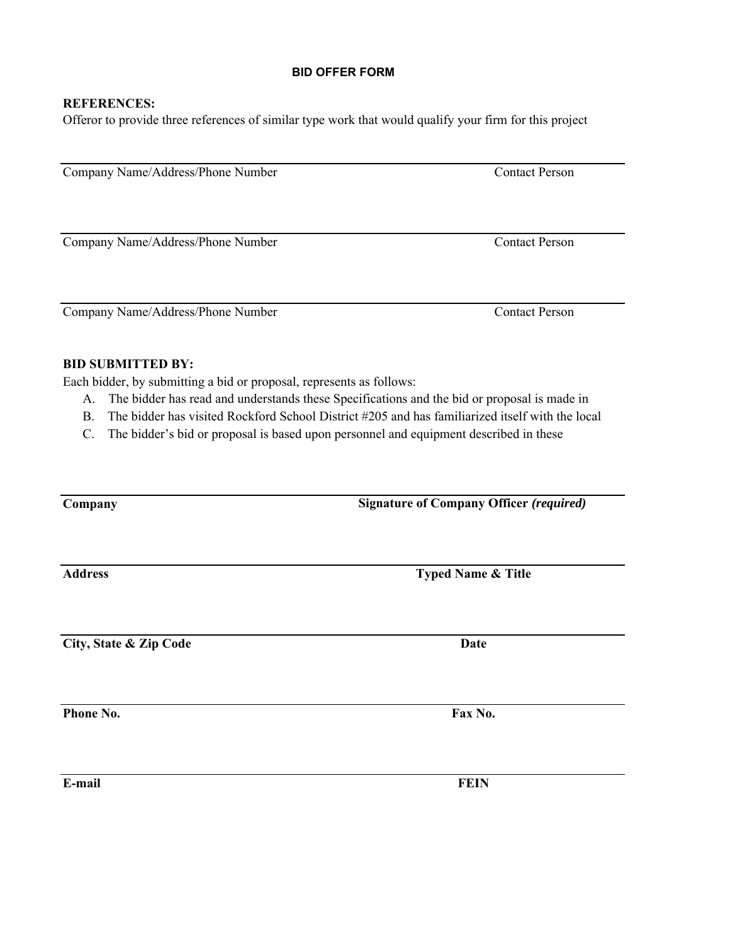#### **REFERENCES:**

Offeror to provide three references of similar type work that would qualify your firm for this project

Company Name/Address/Phone Number Contact Person

Company Name/Address/Phone Number Contact Person

Company Name/Address/Phone Number Contact Person

#### **BID SUBMITTED BY:**

Each bidder, by submitting a bid or proposal, represents as follows:

- A. The bidder has read and understands these Specifications and the bid or proposal is made in
- B. The bidder has visited Rockford School District #205 and has familiarized itself with the local
- C. The bidder's bid or proposal is based upon personnel and equipment described in these

| Company                | <b>Signature of Company Officer (required)</b> |  |  |  |  |
|------------------------|------------------------------------------------|--|--|--|--|
| <b>Address</b>         | <b>Typed Name &amp; Title</b>                  |  |  |  |  |
|                        |                                                |  |  |  |  |
| City, State & Zip Code | <b>Date</b>                                    |  |  |  |  |
| Phone No.              | Fax No.                                        |  |  |  |  |
|                        |                                                |  |  |  |  |
| E-mail                 | <b>FEIN</b>                                    |  |  |  |  |

**BID OFFER FORM**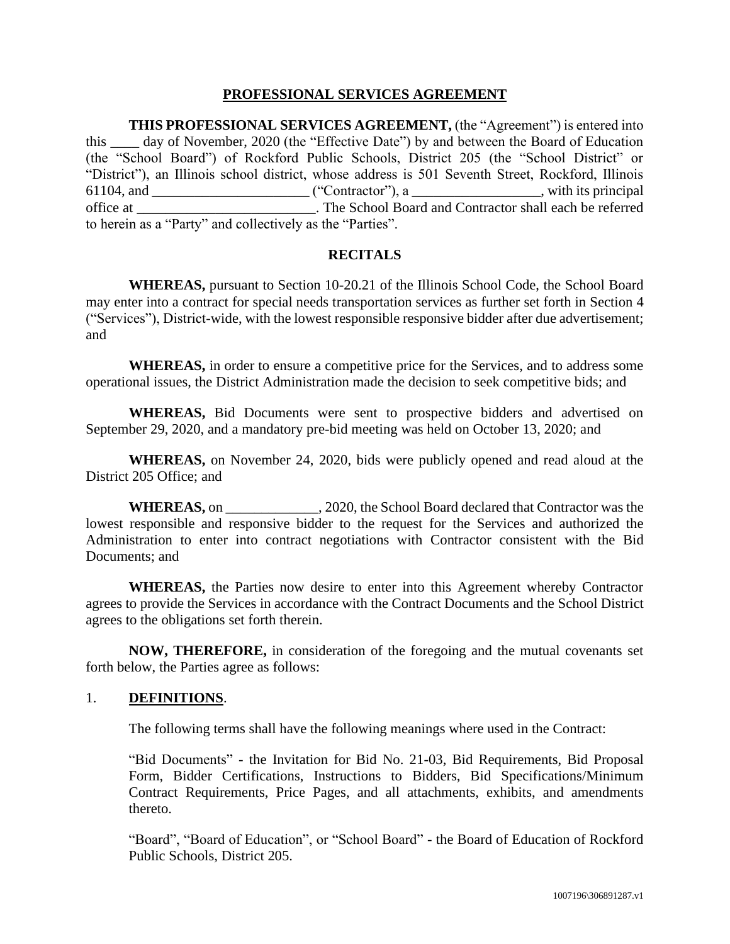## **PROFESSIONAL SERVICES AGREEMENT**

**THIS PROFESSIONAL SERVICES AGREEMENT,** (the "Agreement") is entered into this \_\_\_\_ day of November, 2020 (the "Effective Date") by and between the Board of Education (the "School Board") of Rockford Public Schools, District 205 (the "School District" or "District"), an Illinois school district, whose address is 501 Seventh Street, Rockford, Illinois 61104, and \_\_\_\_\_\_\_\_\_\_\_\_\_\_\_\_\_\_\_\_\_\_ ("Contractor"), a \_\_\_\_\_\_\_\_\_\_\_\_\_\_\_\_\_\_, with its principal office at \_\_\_\_\_\_\_\_\_\_\_\_\_\_\_\_\_\_\_\_\_\_\_\_\_. The School Board and Contractor shall each be referred to herein as a "Party" and collectively as the "Parties".

#### **RECITALS**

**WHEREAS,** pursuant to Section 10-20.21 of the Illinois School Code, the School Board may enter into a contract for special needs transportation services as further set forth in Section [4](#page-13-0) ("Services"), District-wide, with the lowest responsible responsive bidder after due advertisement; and

**WHEREAS,** in order to ensure a competitive price for the Services, and to address some operational issues, the District Administration made the decision to seek competitive bids; and

**WHEREAS,** Bid Documents were sent to prospective bidders and advertised on September 29, 2020, and a mandatory pre-bid meeting was held on October 13, 2020; and

**WHEREAS,** on November 24, 2020, bids were publicly opened and read aloud at the District 205 Office; and

**WHEREAS,** on \_\_\_\_\_\_\_\_\_\_\_\_\_, 2020, the School Board declared that Contractor was the lowest responsible and responsive bidder to the request for the Services and authorized the Administration to enter into contract negotiations with Contractor consistent with the Bid Documents; and

**WHEREAS,** the Parties now desire to enter into this Agreement whereby Contractor agrees to provide the Services in accordance with the Contract Documents and the School District agrees to the obligations set forth therein.

**NOW, THEREFORE,** in consideration of the foregoing and the mutual covenants set forth below, the Parties agree as follows:

#### 1. **DEFINITIONS**.

The following terms shall have the following meanings where used in the Contract:

"Bid Documents" - the Invitation for Bid No. 21-03, Bid Requirements, Bid Proposal Form, Bidder Certifications, Instructions to Bidders, Bid Specifications/Minimum Contract Requirements, Price Pages, and all attachments, exhibits, and amendments thereto.

"Board", "Board of Education", or "School Board" - the Board of Education of Rockford Public Schools, District 205.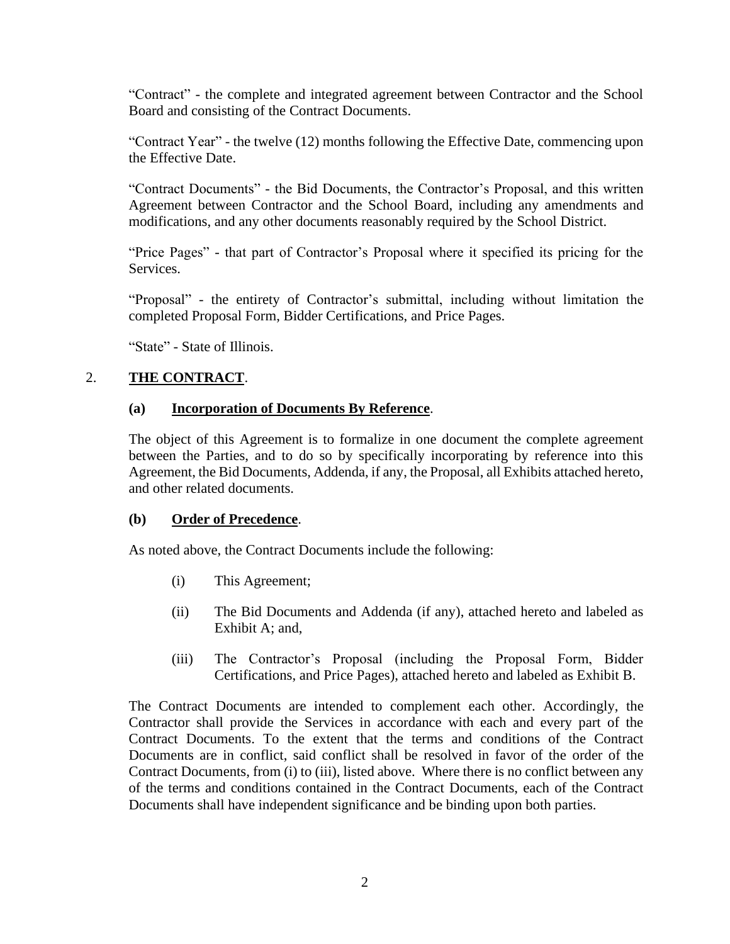"Contract" - the complete and integrated agreement between Contractor and the School Board and consisting of the Contract Documents.

"Contract Year" - the twelve (12) months following the Effective Date, commencing upon the Effective Date.

"Contract Documents" - the Bid Documents, the Contractor's Proposal, and this written Agreement between Contractor and the School Board, including any amendments and modifications, and any other documents reasonably required by the School District.

"Price Pages" - that part of Contractor's Proposal where it specified its pricing for the Services.

"Proposal" - the entirety of Contractor's submittal, including without limitation the completed Proposal Form, Bidder Certifications, and Price Pages.

"State" - State of Illinois.

# 2. **THE CONTRACT**.

## **(a) Incorporation of Documents By Reference**.

The object of this Agreement is to formalize in one document the complete agreement between the Parties, and to do so by specifically incorporating by reference into this Agreement, the Bid Documents, Addenda, if any, the Proposal, all Exhibits attached hereto, and other related documents.

## **(b) Order of Precedence**.

As noted above, the Contract Documents include the following:

- (i) This Agreement;
- (ii) The Bid Documents and Addenda (if any), attached hereto and labeled as Exhibit A; and,
- (iii) The Contractor's Proposal (including the Proposal Form, Bidder Certifications, and Price Pages), attached hereto and labeled as Exhibit B.

The Contract Documents are intended to complement each other. Accordingly, the Contractor shall provide the Services in accordance with each and every part of the Contract Documents. To the extent that the terms and conditions of the Contract Documents are in conflict, said conflict shall be resolved in favor of the order of the Contract Documents, from (i) to (iii), listed above. Where there is no conflict between any of the terms and conditions contained in the Contract Documents, each of the Contract Documents shall have independent significance and be binding upon both parties.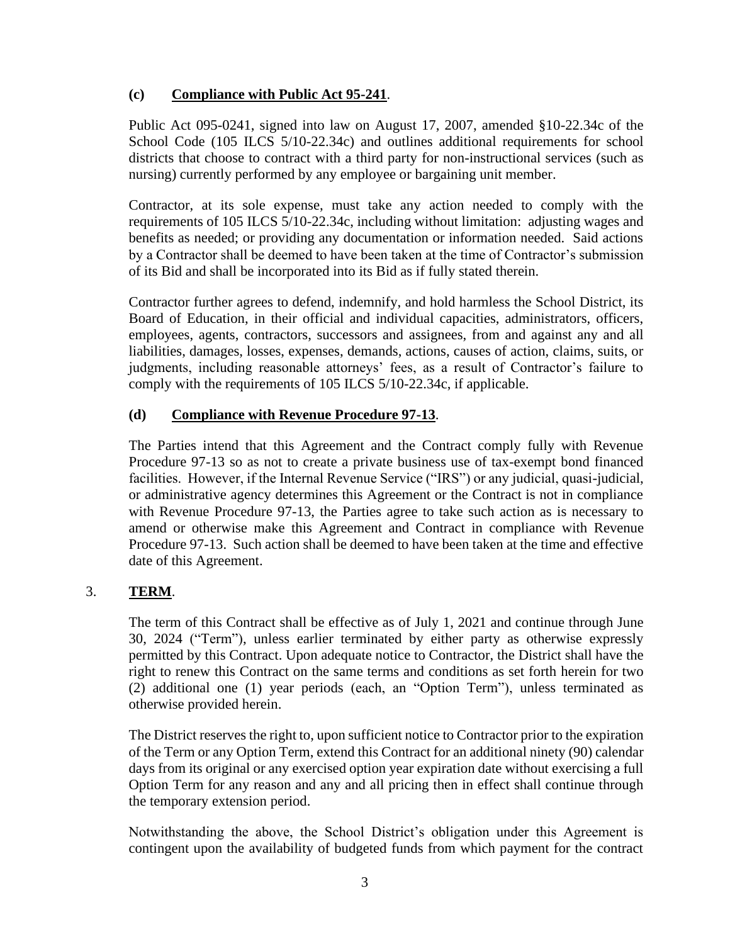# **(c) Compliance with Public Act 95-241**.

Public Act 095-0241, signed into law on August 17, 2007, amended §10-22.34c of the School Code (105 ILCS 5/10-22.34c) and outlines additional requirements for school districts that choose to contract with a third party for non-instructional services (such as nursing) currently performed by any employee or bargaining unit member.

Contractor, at its sole expense, must take any action needed to comply with the requirements of 105 ILCS 5/10-22.34c, including without limitation: adjusting wages and benefits as needed; or providing any documentation or information needed. Said actions by a Contractor shall be deemed to have been taken at the time of Contractor's submission of its Bid and shall be incorporated into its Bid as if fully stated therein.

Contractor further agrees to defend, indemnify, and hold harmless the School District, its Board of Education, in their official and individual capacities, administrators, officers, employees, agents, contractors, successors and assignees, from and against any and all liabilities, damages, losses, expenses, demands, actions, causes of action, claims, suits, or judgments, including reasonable attorneys' fees, as a result of Contractor's failure to comply with the requirements of 105 ILCS 5/10-22.34c, if applicable.

# **(d) Compliance with Revenue Procedure 97-13**.

The Parties intend that this Agreement and the Contract comply fully with Revenue Procedure 97-13 so as not to create a private business use of tax-exempt bond financed facilities. However, if the Internal Revenue Service ("IRS") or any judicial, quasi-judicial, or administrative agency determines this Agreement or the Contract is not in compliance with Revenue Procedure 97-13, the Parties agree to take such action as is necessary to amend or otherwise make this Agreement and Contract in compliance with Revenue Procedure 97-13. Such action shall be deemed to have been taken at the time and effective date of this Agreement.

# 3. **TERM**.

The term of this Contract shall be effective as of July 1, 2021 and continue through June 30, 2024 ("Term"), unless earlier terminated by either party as otherwise expressly permitted by this Contract. Upon adequate notice to Contractor, the District shall have the right to renew this Contract on the same terms and conditions as set forth herein for two (2) additional one (1) year periods (each, an "Option Term"), unless terminated as otherwise provided herein.

The District reserves the right to, upon sufficient notice to Contractor prior to the expiration of the Term or any Option Term, extend this Contract for an additional ninety (90) calendar days from its original or any exercised option year expiration date without exercising a full Option Term for any reason and any and all pricing then in effect shall continue through the temporary extension period.

Notwithstanding the above, the School District's obligation under this Agreement is contingent upon the availability of budgeted funds from which payment for the contract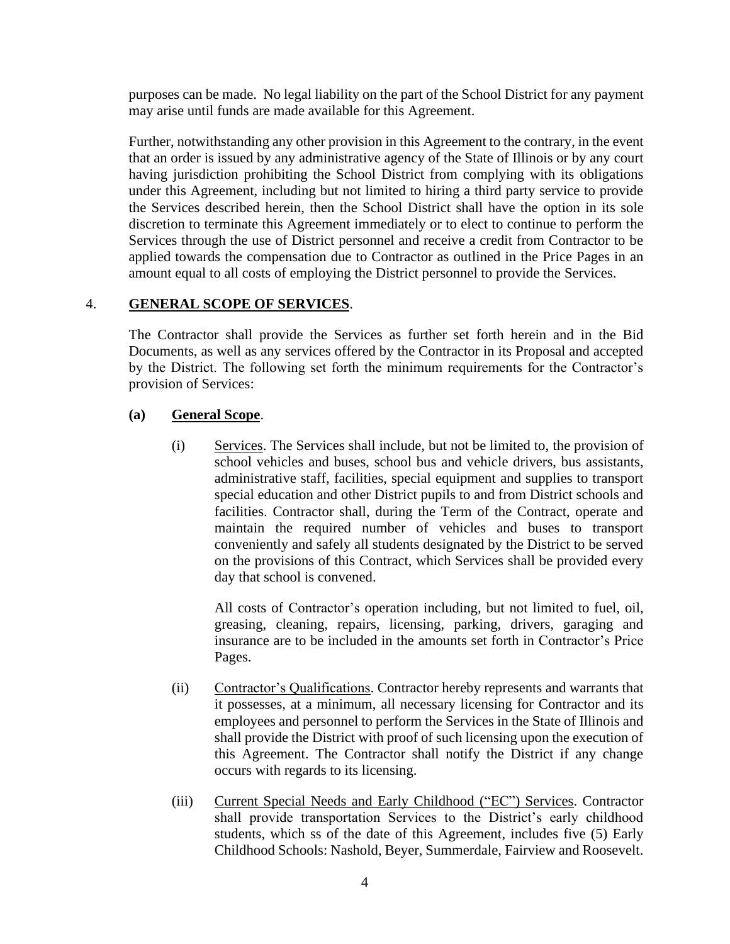purposes can be made. No legal liability on the part of the School District for any payment may arise until funds are made available for this Agreement.

Further, notwithstanding any other provision in this Agreement to the contrary, in the event that an order is issued by any administrative agency of the State of Illinois or by any court having jurisdiction prohibiting the School District from complying with its obligations under this Agreement, including but not limited to hiring a third party service to provide the Services described herein, then the School District shall have the option in its sole discretion to terminate this Agreement immediately or to elect to continue to perform the Services through the use of District personnel and receive a credit from Contractor to be applied towards the compensation due to Contractor as outlined in the Price Pages in an amount equal to all costs of employing the District personnel to provide the Services.

# <span id="page-13-0"></span>4. **GENERAL SCOPE OF SERVICES**.

The Contractor shall provide the Services as further set forth herein and in the Bid Documents, as well as any services offered by the Contractor in its Proposal and accepted by the District. The following set forth the minimum requirements for the Contractor's provision of Services:

# **(a) General Scope**.

(i) Services. The Services shall include, but not be limited to, the provision of school vehicles and buses, school bus and vehicle drivers, bus assistants, administrative staff, facilities, special equipment and supplies to transport special education and other District pupils to and from District schools and facilities. Contractor shall, during the Term of the Contract, operate and maintain the required number of vehicles and buses to transport conveniently and safely all students designated by the District to be served on the provisions of this Contract, which Services shall be provided every day that school is convened.

All costs of Contractor's operation including, but not limited to fuel, oil, greasing, cleaning, repairs, licensing, parking, drivers, garaging and insurance are to be included in the amounts set forth in Contractor's Price Pages.

- (ii) Contractor's Qualifications. Contractor hereby represents and warrants that it possesses, at a minimum, all necessary licensing for Contractor and its employees and personnel to perform the Services in the State of Illinois and shall provide the District with proof of such licensing upon the execution of this Agreement. The Contractor shall notify the District if any change occurs with regards to its licensing.
- (iii) Current Special Needs and Early Childhood ("EC") Services. Contractor shall provide transportation Services to the District's early childhood students, which ss of the date of this Agreement, includes five (5) Early Childhood Schools: Nashold, Beyer, Summerdale, Fairview and Roosevelt.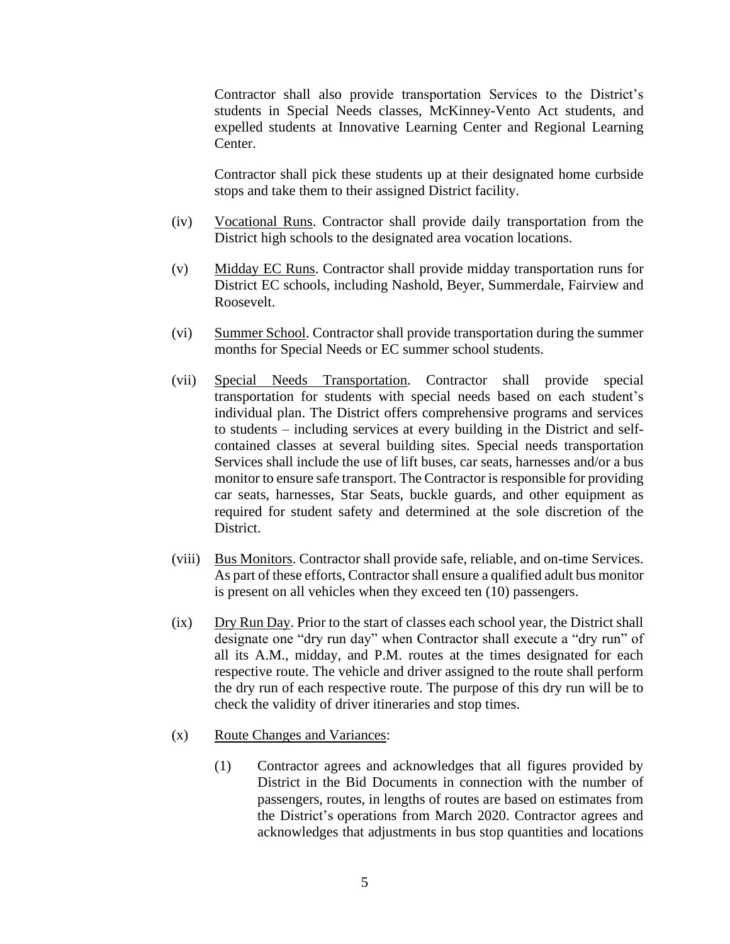Contractor shall also provide transportation Services to the District's students in Special Needs classes, McKinney-Vento Act students, and expelled students at Innovative Learning Center and Regional Learning Center.

Contractor shall pick these students up at their designated home curbside stops and take them to their assigned District facility.

- (iv) Vocational Runs. Contractor shall provide daily transportation from the District high schools to the designated area vocation locations.
- (v) Midday EC Runs. Contractor shall provide midday transportation runs for District EC schools, including Nashold, Beyer, Summerdale, Fairview and Roosevelt.
- (vi) Summer School. Contractor shall provide transportation during the summer months for Special Needs or EC summer school students.
- (vii) Special Needs Transportation. Contractor shall provide special transportation for students with special needs based on each student's individual plan. The District offers comprehensive programs and services to students – including services at every building in the District and selfcontained classes at several building sites. Special needs transportation Services shall include the use of lift buses, car seats, harnesses and/or a bus monitor to ensure safe transport. The Contractor is responsible for providing car seats, harnesses, Star Seats, buckle guards, and other equipment as required for student safety and determined at the sole discretion of the District.
- (viii) Bus Monitors. Contractor shall provide safe, reliable, and on-time Services. As part of these efforts, Contractor shall ensure a qualified adult bus monitor is present on all vehicles when they exceed ten (10) passengers.
- (ix) Dry Run Day. Prior to the start of classes each school year, the District shall designate one "dry run day" when Contractor shall execute a "dry run" of all its A.M., midday, and P.M. routes at the times designated for each respective route. The vehicle and driver assigned to the route shall perform the dry run of each respective route. The purpose of this dry run will be to check the validity of driver itineraries and stop times.
- (x) Route Changes and Variances:
	- (1) Contractor agrees and acknowledges that all figures provided by District in the Bid Documents in connection with the number of passengers, routes, in lengths of routes are based on estimates from the District's operations from March 2020. Contractor agrees and acknowledges that adjustments in bus stop quantities and locations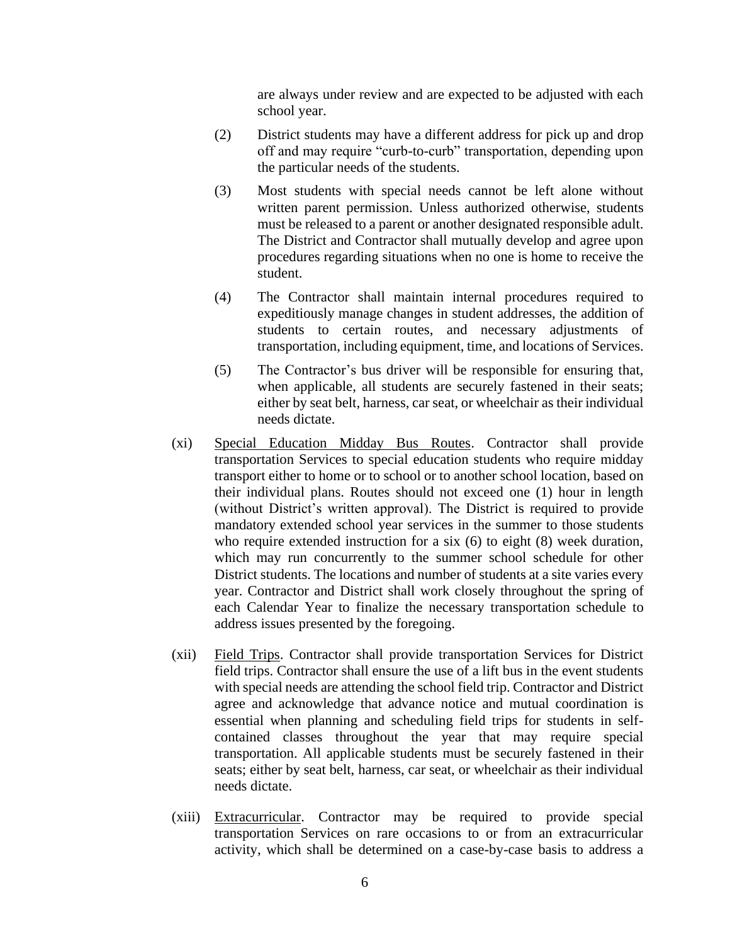are always under review and are expected to be adjusted with each school year.

- (2) District students may have a different address for pick up and drop off and may require "curb-to-curb" transportation, depending upon the particular needs of the students.
- (3) Most students with special needs cannot be left alone without written parent permission. Unless authorized otherwise, students must be released to a parent or another designated responsible adult. The District and Contractor shall mutually develop and agree upon procedures regarding situations when no one is home to receive the student.
- (4) The Contractor shall maintain internal procedures required to expeditiously manage changes in student addresses, the addition of students to certain routes, and necessary adjustments of transportation, including equipment, time, and locations of Services.
- (5) The Contractor's bus driver will be responsible for ensuring that, when applicable, all students are securely fastened in their seats; either by seat belt, harness, car seat, or wheelchair as their individual needs dictate.
- (xi) Special Education Midday Bus Routes. Contractor shall provide transportation Services to special education students who require midday transport either to home or to school or to another school location, based on their individual plans. Routes should not exceed one (1) hour in length (without District's written approval). The District is required to provide mandatory extended school year services in the summer to those students who require extended instruction for a six (6) to eight (8) week duration, which may run concurrently to the summer school schedule for other District students. The locations and number of students at a site varies every year. Contractor and District shall work closely throughout the spring of each Calendar Year to finalize the necessary transportation schedule to address issues presented by the foregoing.
- (xii) Field Trips. Contractor shall provide transportation Services for District field trips. Contractor shall ensure the use of a lift bus in the event students with special needs are attending the school field trip. Contractor and District agree and acknowledge that advance notice and mutual coordination is essential when planning and scheduling field trips for students in selfcontained classes throughout the year that may require special transportation. All applicable students must be securely fastened in their seats; either by seat belt, harness, car seat, or wheelchair as their individual needs dictate.
- (xiii) Extracurricular. Contractor may be required to provide special transportation Services on rare occasions to or from an extracurricular activity, which shall be determined on a case-by-case basis to address a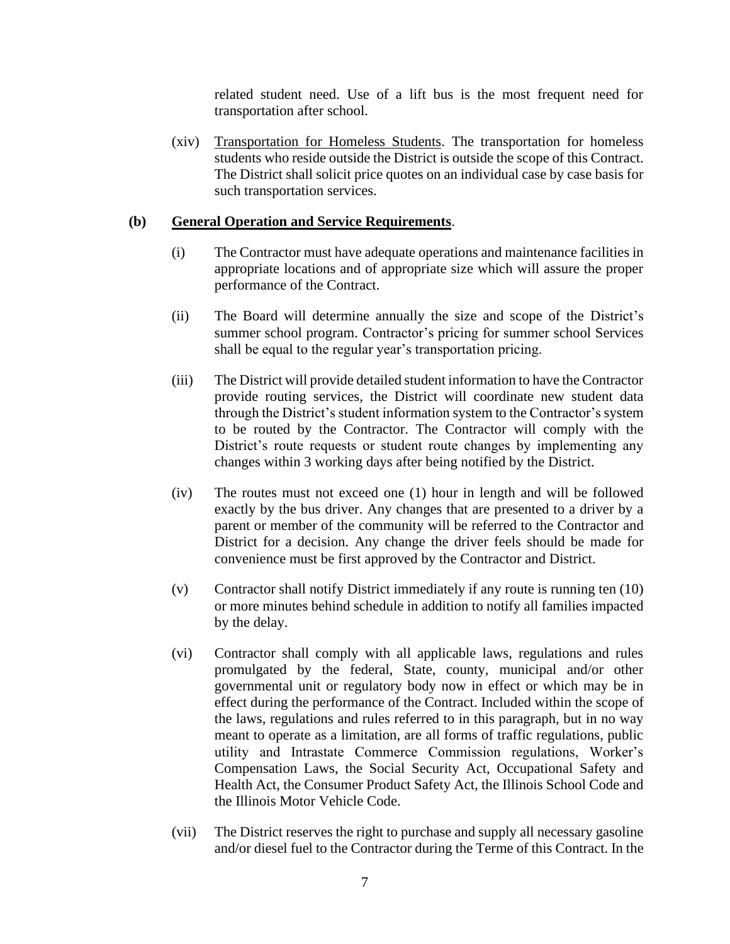related student need. Use of a lift bus is the most frequent need for transportation after school.

(xiv) Transportation for Homeless Students. The transportation for homeless students who reside outside the District is outside the scope of this Contract. The District shall solicit price quotes on an individual case by case basis for such transportation services.

# **(b) General Operation and Service Requirements**.

- (i) The Contractor must have adequate operations and maintenance facilities in appropriate locations and of appropriate size which will assure the proper performance of the Contract.
- (ii) The Board will determine annually the size and scope of the District's summer school program. Contractor's pricing for summer school Services shall be equal to the regular year's transportation pricing.
- (iii) The District will provide detailed student information to have the Contractor provide routing services, the District will coordinate new student data through the District's student information system to the Contractor's system to be routed by the Contractor. The Contractor will comply with the District's route requests or student route changes by implementing any changes within 3 working days after being notified by the District.
- (iv) The routes must not exceed one (1) hour in length and will be followed exactly by the bus driver. Any changes that are presented to a driver by a parent or member of the community will be referred to the Contractor and District for a decision. Any change the driver feels should be made for convenience must be first approved by the Contractor and District.
- (v) Contractor shall notify District immediately if any route is running ten (10) or more minutes behind schedule in addition to notify all families impacted by the delay.
- (vi) Contractor shall comply with all applicable laws, regulations and rules promulgated by the federal, State, county, municipal and/or other governmental unit or regulatory body now in effect or which may be in effect during the performance of the Contract. Included within the scope of the laws, regulations and rules referred to in this paragraph, but in no way meant to operate as a limitation, are all forms of traffic regulations, public utility and Intrastate Commerce Commission regulations, Worker's Compensation Laws, the Social Security Act, Occupational Safety and Health Act, the Consumer Product Safety Act, the Illinois School Code and the Illinois Motor Vehicle Code.
- (vii) The District reserves the right to purchase and supply all necessary gasoline and/or diesel fuel to the Contractor during the Terme of this Contract. In the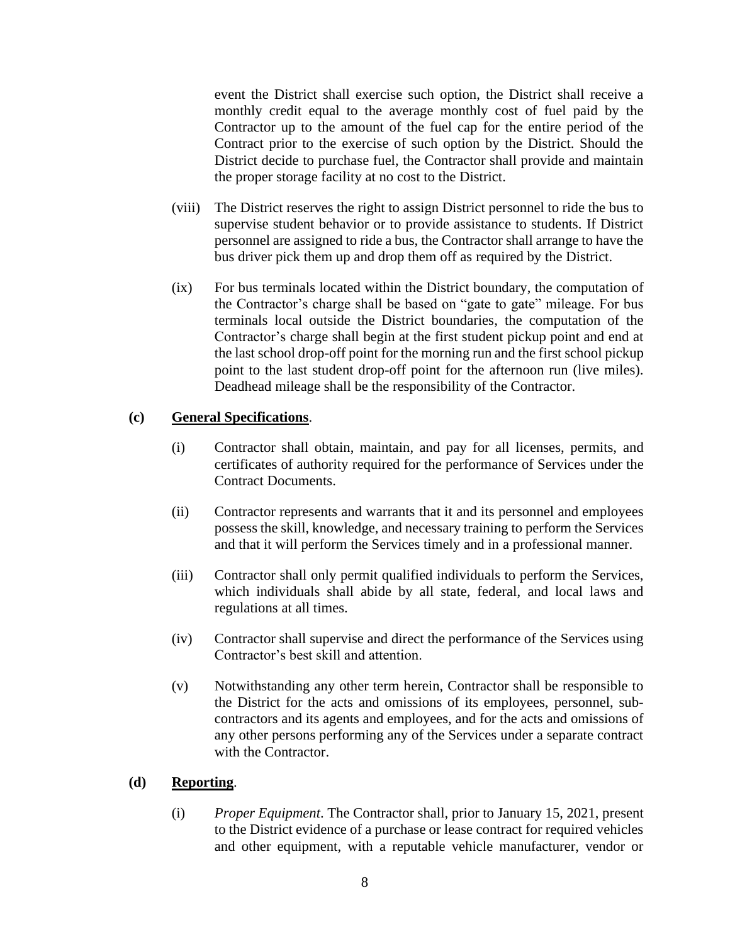event the District shall exercise such option, the District shall receive a monthly credit equal to the average monthly cost of fuel paid by the Contractor up to the amount of the fuel cap for the entire period of the Contract prior to the exercise of such option by the District. Should the District decide to purchase fuel, the Contractor shall provide and maintain the proper storage facility at no cost to the District.

- (viii) The District reserves the right to assign District personnel to ride the bus to supervise student behavior or to provide assistance to students. If District personnel are assigned to ride a bus, the Contractor shall arrange to have the bus driver pick them up and drop them off as required by the District.
- (ix) For bus terminals located within the District boundary, the computation of the Contractor's charge shall be based on "gate to gate" mileage. For bus terminals local outside the District boundaries, the computation of the Contractor's charge shall begin at the first student pickup point and end at the last school drop-off point for the morning run and the first school pickup point to the last student drop-off point for the afternoon run (live miles). Deadhead mileage shall be the responsibility of the Contractor.

#### **(c) General Specifications**.

- (i) Contractor shall obtain, maintain, and pay for all licenses, permits, and certificates of authority required for the performance of Services under the Contract Documents.
- (ii) Contractor represents and warrants that it and its personnel and employees possess the skill, knowledge, and necessary training to perform the Services and that it will perform the Services timely and in a professional manner.
- (iii) Contractor shall only permit qualified individuals to perform the Services, which individuals shall abide by all state, federal, and local laws and regulations at all times.
- (iv) Contractor shall supervise and direct the performance of the Services using Contractor's best skill and attention.
- (v) Notwithstanding any other term herein, Contractor shall be responsible to the District for the acts and omissions of its employees, personnel, subcontractors and its agents and employees, and for the acts and omissions of any other persons performing any of the Services under a separate contract with the Contractor.

#### **(d) Reporting**.

(i) *Proper Equipment*. The Contractor shall, prior to January 15, 2021, present to the District evidence of a purchase or lease contract for required vehicles and other equipment, with a reputable vehicle manufacturer, vendor or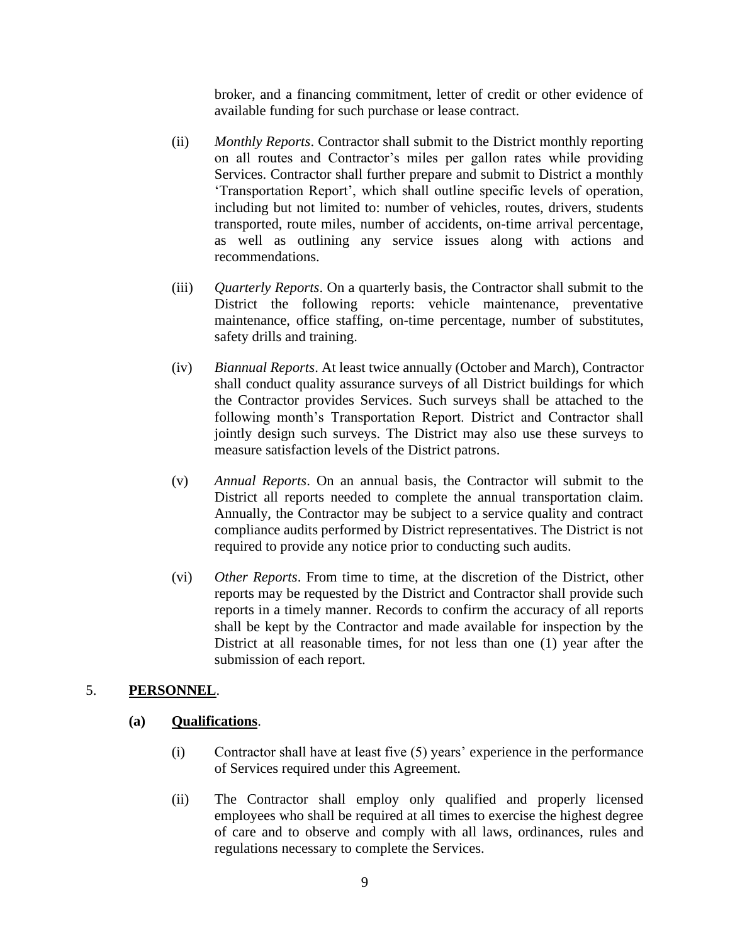broker, and a financing commitment, letter of credit or other evidence of available funding for such purchase or lease contract.

- (ii) *Monthly Reports*. Contractor shall submit to the District monthly reporting on all routes and Contractor's miles per gallon rates while providing Services. Contractor shall further prepare and submit to District a monthly 'Transportation Report', which shall outline specific levels of operation, including but not limited to: number of vehicles, routes, drivers, students transported, route miles, number of accidents, on-time arrival percentage, as well as outlining any service issues along with actions and recommendations.
- (iii) *Quarterly Reports*. On a quarterly basis, the Contractor shall submit to the District the following reports: vehicle maintenance, preventative maintenance, office staffing, on-time percentage, number of substitutes, safety drills and training.
- (iv) *Biannual Reports*. At least twice annually (October and March), Contractor shall conduct quality assurance surveys of all District buildings for which the Contractor provides Services. Such surveys shall be attached to the following month's Transportation Report. District and Contractor shall jointly design such surveys. The District may also use these surveys to measure satisfaction levels of the District patrons.
- (v) *Annual Reports*. On an annual basis, the Contractor will submit to the District all reports needed to complete the annual transportation claim. Annually, the Contractor may be subject to a service quality and contract compliance audits performed by District representatives. The District is not required to provide any notice prior to conducting such audits.
- (vi) *Other Reports*. From time to time, at the discretion of the District, other reports may be requested by the District and Contractor shall provide such reports in a timely manner. Records to confirm the accuracy of all reports shall be kept by the Contractor and made available for inspection by the District at all reasonable times, for not less than one (1) year after the submission of each report.

## 5. **PERSONNEL**.

## **(a) Qualifications**.

- (i) Contractor shall have at least five (5) years' experience in the performance of Services required under this Agreement.
- (ii) The Contractor shall employ only qualified and properly licensed employees who shall be required at all times to exercise the highest degree of care and to observe and comply with all laws, ordinances, rules and regulations necessary to complete the Services.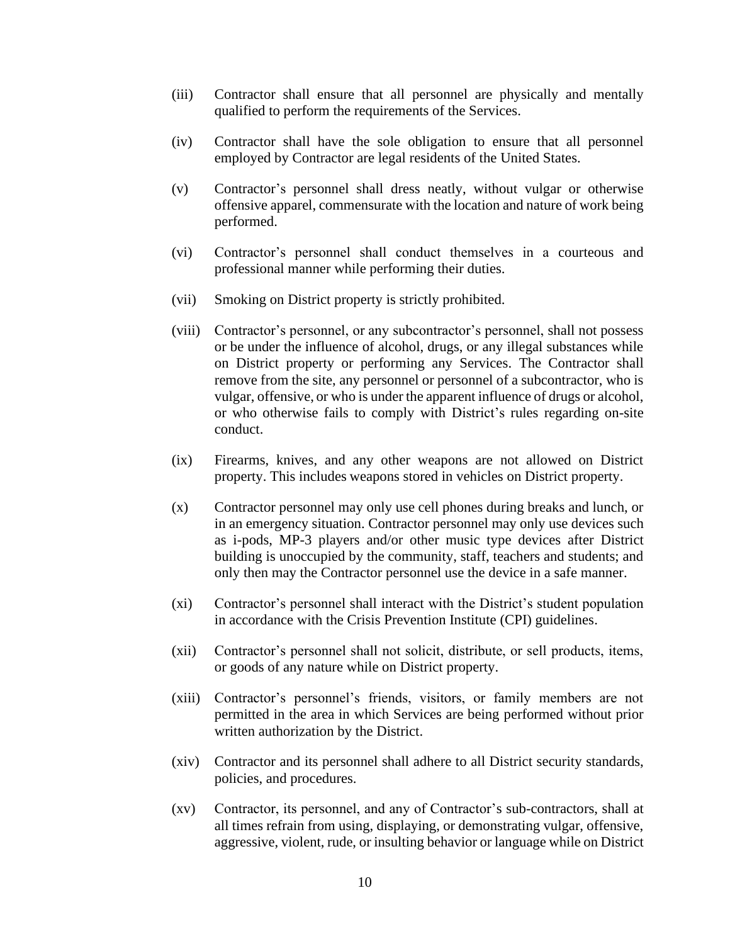- (iii) Contractor shall ensure that all personnel are physically and mentally qualified to perform the requirements of the Services.
- (iv) Contractor shall have the sole obligation to ensure that all personnel employed by Contractor are legal residents of the United States.
- (v) Contractor's personnel shall dress neatly, without vulgar or otherwise offensive apparel, commensurate with the location and nature of work being performed.
- (vi) Contractor's personnel shall conduct themselves in a courteous and professional manner while performing their duties.
- (vii) Smoking on District property is strictly prohibited.
- (viii) Contractor's personnel, or any subcontractor's personnel, shall not possess or be under the influence of alcohol, drugs, or any illegal substances while on District property or performing any Services. The Contractor shall remove from the site, any personnel or personnel of a subcontractor, who is vulgar, offensive, or who is under the apparent influence of drugs or alcohol, or who otherwise fails to comply with District's rules regarding on-site conduct.
- (ix) Firearms, knives, and any other weapons are not allowed on District property. This includes weapons stored in vehicles on District property.
- (x) Contractor personnel may only use cell phones during breaks and lunch, or in an emergency situation. Contractor personnel may only use devices such as i-pods, MP-3 players and/or other music type devices after District building is unoccupied by the community, staff, teachers and students; and only then may the Contractor personnel use the device in a safe manner.
- (xi) Contractor's personnel shall interact with the District's student population in accordance with the Crisis Prevention Institute (CPI) guidelines.
- (xii) Contractor's personnel shall not solicit, distribute, or sell products, items, or goods of any nature while on District property.
- (xiii) Contractor's personnel's friends, visitors, or family members are not permitted in the area in which Services are being performed without prior written authorization by the District.
- (xiv) Contractor and its personnel shall adhere to all District security standards, policies, and procedures.
- (xv) Contractor, its personnel, and any of Contractor's sub-contractors, shall at all times refrain from using, displaying, or demonstrating vulgar, offensive, aggressive, violent, rude, or insulting behavior or language while on District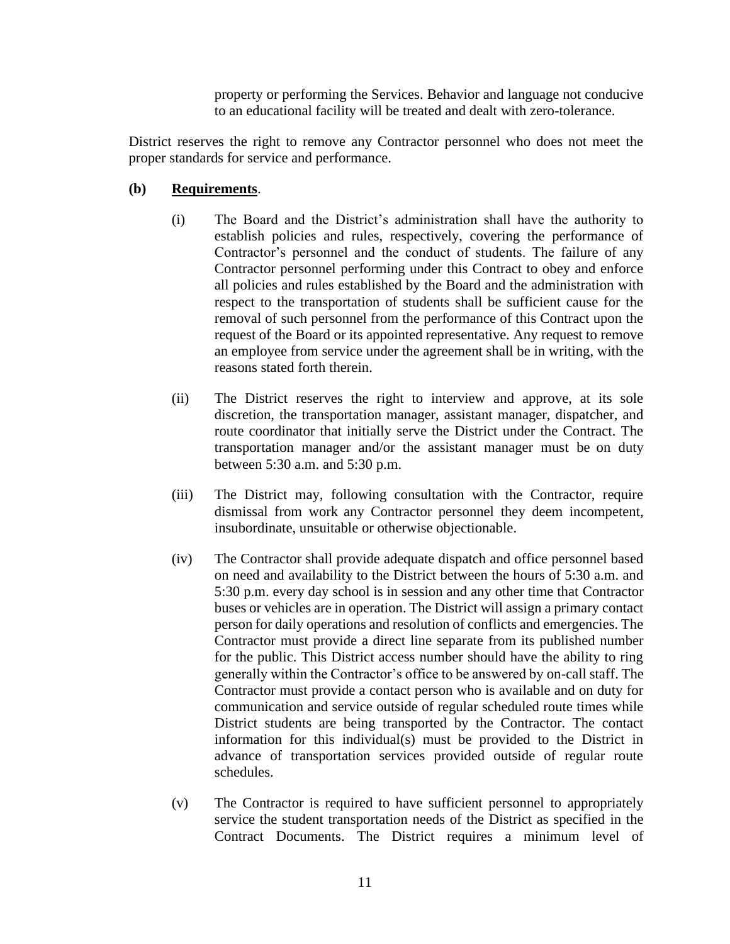property or performing the Services. Behavior and language not conducive to an educational facility will be treated and dealt with zero-tolerance.

District reserves the right to remove any Contractor personnel who does not meet the proper standards for service and performance.

# **(b) Requirements**.

- (i) The Board and the District's administration shall have the authority to establish policies and rules, respectively, covering the performance of Contractor's personnel and the conduct of students. The failure of any Contractor personnel performing under this Contract to obey and enforce all policies and rules established by the Board and the administration with respect to the transportation of students shall be sufficient cause for the removal of such personnel from the performance of this Contract upon the request of the Board or its appointed representative. Any request to remove an employee from service under the agreement shall be in writing, with the reasons stated forth therein.
- (ii) The District reserves the right to interview and approve, at its sole discretion, the transportation manager, assistant manager, dispatcher, and route coordinator that initially serve the District under the Contract. The transportation manager and/or the assistant manager must be on duty between 5:30 a.m. and 5:30 p.m.
- (iii) The District may, following consultation with the Contractor, require dismissal from work any Contractor personnel they deem incompetent, insubordinate, unsuitable or otherwise objectionable.
- (iv) The Contractor shall provide adequate dispatch and office personnel based on need and availability to the District between the hours of 5:30 a.m. and 5:30 p.m. every day school is in session and any other time that Contractor buses or vehicles are in operation. The District will assign a primary contact person for daily operations and resolution of conflicts and emergencies. The Contractor must provide a direct line separate from its published number for the public. This District access number should have the ability to ring generally within the Contractor's office to be answered by on-call staff. The Contractor must provide a contact person who is available and on duty for communication and service outside of regular scheduled route times while District students are being transported by the Contractor. The contact information for this individual(s) must be provided to the District in advance of transportation services provided outside of regular route schedules.
- (v) The Contractor is required to have sufficient personnel to appropriately service the student transportation needs of the District as specified in the Contract Documents. The District requires a minimum level of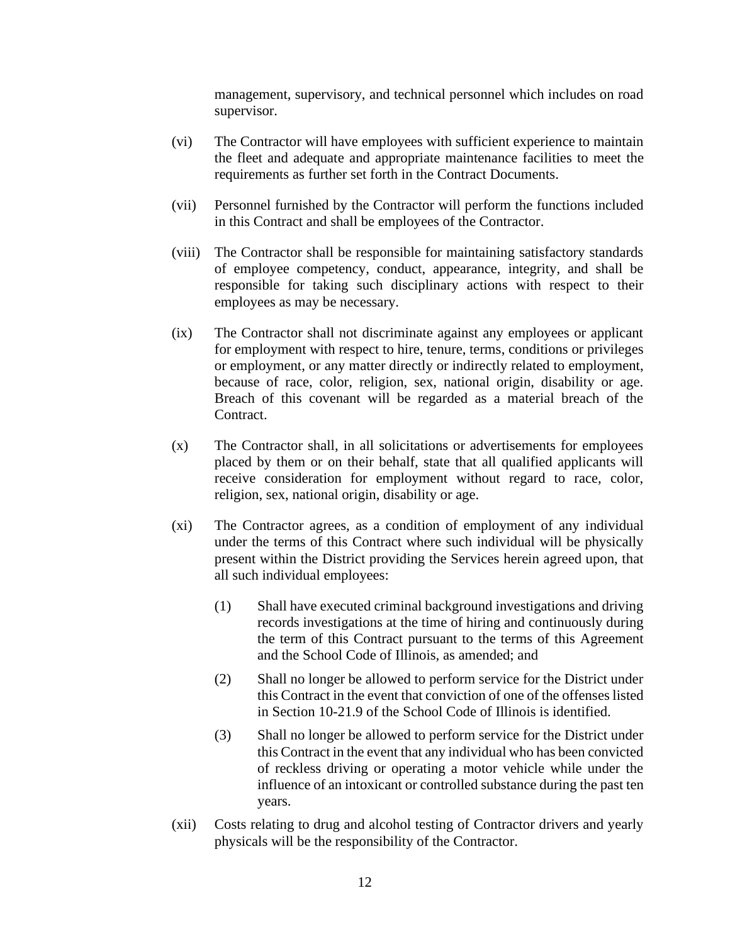management, supervisory, and technical personnel which includes on road supervisor.

- (vi) The Contractor will have employees with sufficient experience to maintain the fleet and adequate and appropriate maintenance facilities to meet the requirements as further set forth in the Contract Documents.
- (vii) Personnel furnished by the Contractor will perform the functions included in this Contract and shall be employees of the Contractor.
- (viii) The Contractor shall be responsible for maintaining satisfactory standards of employee competency, conduct, appearance, integrity, and shall be responsible for taking such disciplinary actions with respect to their employees as may be necessary.
- (ix) The Contractor shall not discriminate against any employees or applicant for employment with respect to hire, tenure, terms, conditions or privileges or employment, or any matter directly or indirectly related to employment, because of race, color, religion, sex, national origin, disability or age. Breach of this covenant will be regarded as a material breach of the Contract.
- (x) The Contractor shall, in all solicitations or advertisements for employees placed by them or on their behalf, state that all qualified applicants will receive consideration for employment without regard to race, color, religion, sex, national origin, disability or age.
- (xi) The Contractor agrees, as a condition of employment of any individual under the terms of this Contract where such individual will be physically present within the District providing the Services herein agreed upon, that all such individual employees:
	- (1) Shall have executed criminal background investigations and driving records investigations at the time of hiring and continuously during the term of this Contract pursuant to the terms of this Agreement and the School Code of Illinois, as amended; and
	- (2) Shall no longer be allowed to perform service for the District under this Contract in the event that conviction of one of the offenses listed in Section 10-21.9 of the School Code of Illinois is identified.
	- (3) Shall no longer be allowed to perform service for the District under this Contract in the event that any individual who has been convicted of reckless driving or operating a motor vehicle while under the influence of an intoxicant or controlled substance during the past ten years.
- (xii) Costs relating to drug and alcohol testing of Contractor drivers and yearly physicals will be the responsibility of the Contractor.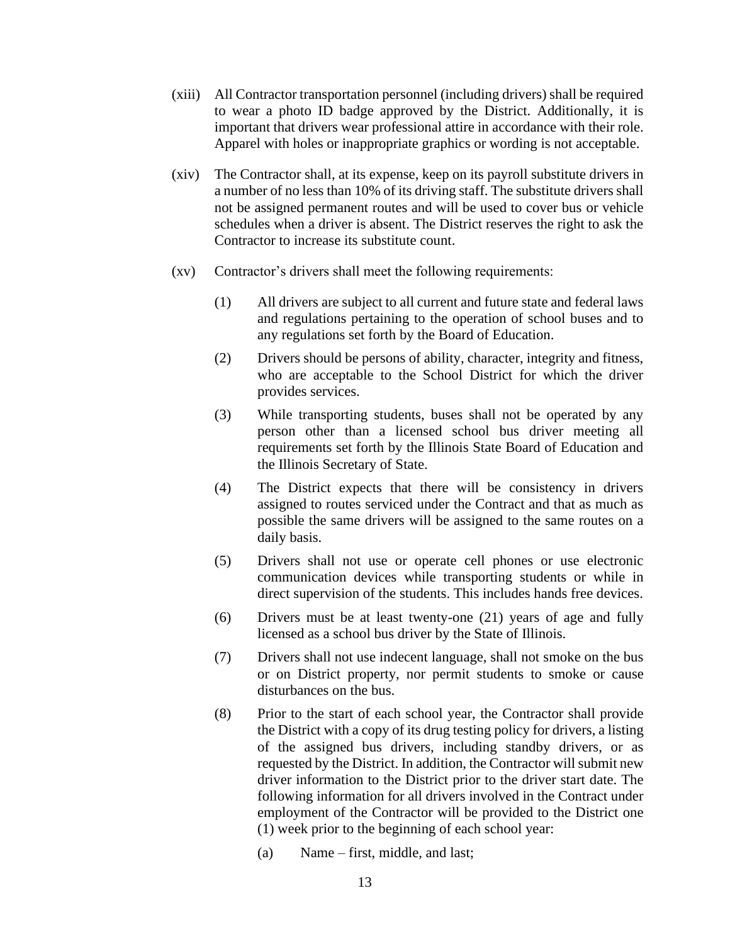- (xiii) All Contractor transportation personnel (including drivers) shall be required to wear a photo ID badge approved by the District. Additionally, it is important that drivers wear professional attire in accordance with their role. Apparel with holes or inappropriate graphics or wording is not acceptable.
- (xiv) The Contractor shall, at its expense, keep on its payroll substitute drivers in a number of no less than 10% of its driving staff. The substitute drivers shall not be assigned permanent routes and will be used to cover bus or vehicle schedules when a driver is absent. The District reserves the right to ask the Contractor to increase its substitute count.
- (xv) Contractor's drivers shall meet the following requirements:
	- (1) All drivers are subject to all current and future state and federal laws and regulations pertaining to the operation of school buses and to any regulations set forth by the Board of Education.
	- (2) Drivers should be persons of ability, character, integrity and fitness, who are acceptable to the School District for which the driver provides services.
	- (3) While transporting students, buses shall not be operated by any person other than a licensed school bus driver meeting all requirements set forth by the Illinois State Board of Education and the Illinois Secretary of State.
	- (4) The District expects that there will be consistency in drivers assigned to routes serviced under the Contract and that as much as possible the same drivers will be assigned to the same routes on a daily basis.
	- (5) Drivers shall not use or operate cell phones or use electronic communication devices while transporting students or while in direct supervision of the students. This includes hands free devices.
	- (6) Drivers must be at least twenty-one (21) years of age and fully licensed as a school bus driver by the State of Illinois.
	- (7) Drivers shall not use indecent language, shall not smoke on the bus or on District property, nor permit students to smoke or cause disturbances on the bus.
	- (8) Prior to the start of each school year, the Contractor shall provide the District with a copy of its drug testing policy for drivers, a listing of the assigned bus drivers, including standby drivers, or as requested by the District. In addition, the Contractor will submit new driver information to the District prior to the driver start date. The following information for all drivers involved in the Contract under employment of the Contractor will be provided to the District one (1) week prior to the beginning of each school year:
		- (a) Name first, middle, and last;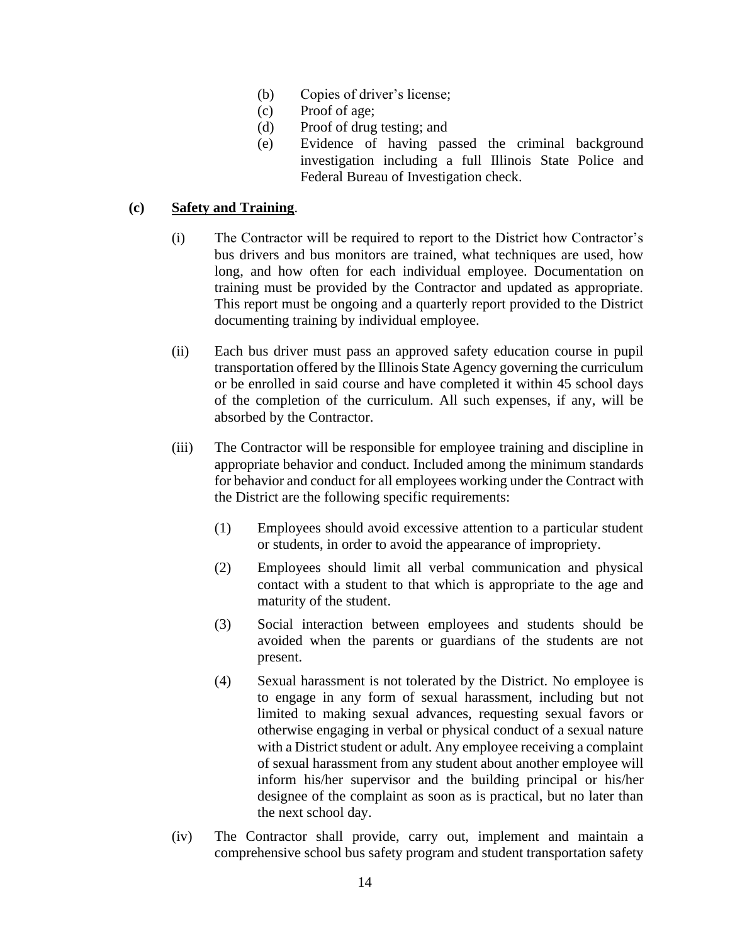- (b) Copies of driver's license;
- (c) Proof of age;
- (d) Proof of drug testing; and
- (e) Evidence of having passed the criminal background investigation including a full Illinois State Police and Federal Bureau of Investigation check.

# **(c) Safety and Training**.

- (i) The Contractor will be required to report to the District how Contractor's bus drivers and bus monitors are trained, what techniques are used, how long, and how often for each individual employee. Documentation on training must be provided by the Contractor and updated as appropriate. This report must be ongoing and a quarterly report provided to the District documenting training by individual employee.
- (ii) Each bus driver must pass an approved safety education course in pupil transportation offered by the Illinois State Agency governing the curriculum or be enrolled in said course and have completed it within 45 school days of the completion of the curriculum. All such expenses, if any, will be absorbed by the Contractor.
- (iii) The Contractor will be responsible for employee training and discipline in appropriate behavior and conduct. Included among the minimum standards for behavior and conduct for all employees working under the Contract with the District are the following specific requirements:
	- (1) Employees should avoid excessive attention to a particular student or students, in order to avoid the appearance of impropriety.
	- (2) Employees should limit all verbal communication and physical contact with a student to that which is appropriate to the age and maturity of the student.
	- (3) Social interaction between employees and students should be avoided when the parents or guardians of the students are not present.
	- (4) Sexual harassment is not tolerated by the District. No employee is to engage in any form of sexual harassment, including but not limited to making sexual advances, requesting sexual favors or otherwise engaging in verbal or physical conduct of a sexual nature with a District student or adult. Any employee receiving a complaint of sexual harassment from any student about another employee will inform his/her supervisor and the building principal or his/her designee of the complaint as soon as is practical, but no later than the next school day.
- (iv) The Contractor shall provide, carry out, implement and maintain a comprehensive school bus safety program and student transportation safety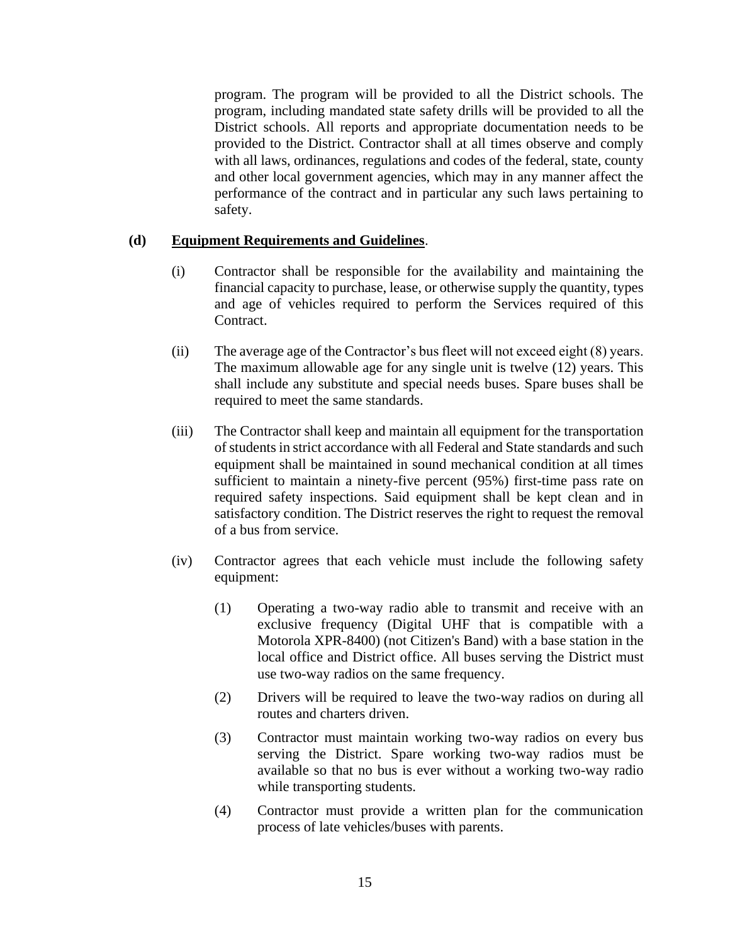program. The program will be provided to all the District schools. The program, including mandated state safety drills will be provided to all the District schools. All reports and appropriate documentation needs to be provided to the District. Contractor shall at all times observe and comply with all laws, ordinances, regulations and codes of the federal, state, county and other local government agencies, which may in any manner affect the performance of the contract and in particular any such laws pertaining to safety.

# **(d) Equipment Requirements and Guidelines**.

- (i) Contractor shall be responsible for the availability and maintaining the financial capacity to purchase, lease, or otherwise supply the quantity, types and age of vehicles required to perform the Services required of this Contract.
- (ii) The average age of the Contractor's bus fleet will not exceed eight (8) years. The maximum allowable age for any single unit is twelve (12) years. This shall include any substitute and special needs buses. Spare buses shall be required to meet the same standards.
- (iii) The Contractor shall keep and maintain all equipment for the transportation of students in strict accordance with all Federal and State standards and such equipment shall be maintained in sound mechanical condition at all times sufficient to maintain a ninety-five percent (95%) first-time pass rate on required safety inspections. Said equipment shall be kept clean and in satisfactory condition. The District reserves the right to request the removal of a bus from service.
- (iv) Contractor agrees that each vehicle must include the following safety equipment:
	- (1) Operating a two-way radio able to transmit and receive with an exclusive frequency (Digital UHF that is compatible with a Motorola XPR-8400) (not Citizen's Band) with a base station in the local office and District office. All buses serving the District must use two-way radios on the same frequency.
	- (2) Drivers will be required to leave the two-way radios on during all routes and charters driven.
	- (3) Contractor must maintain working two-way radios on every bus serving the District. Spare working two-way radios must be available so that no bus is ever without a working two-way radio while transporting students.
	- (4) Contractor must provide a written plan for the communication process of late vehicles/buses with parents.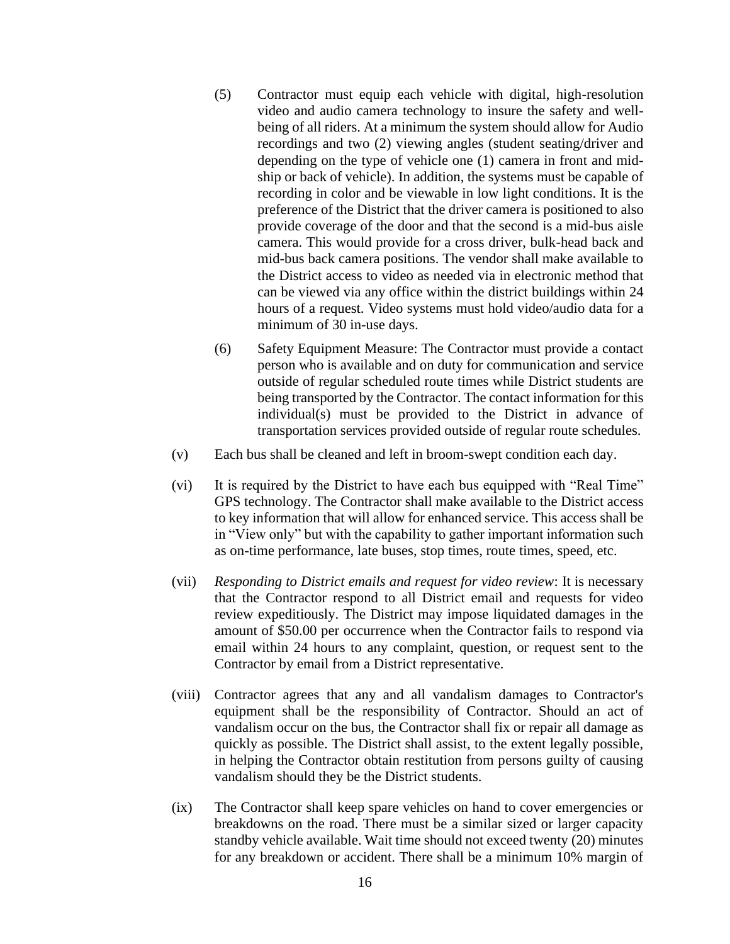- (5) Contractor must equip each vehicle with digital, high-resolution video and audio camera technology to insure the safety and wellbeing of all riders. At a minimum the system should allow for Audio recordings and two (2) viewing angles (student seating/driver and depending on the type of vehicle one (1) camera in front and midship or back of vehicle). In addition, the systems must be capable of recording in color and be viewable in low light conditions. It is the preference of the District that the driver camera is positioned to also provide coverage of the door and that the second is a mid-bus aisle camera. This would provide for a cross driver, bulk-head back and mid-bus back camera positions. The vendor shall make available to the District access to video as needed via in electronic method that can be viewed via any office within the district buildings within 24 hours of a request. Video systems must hold video/audio data for a minimum of 30 in-use days.
- (6) Safety Equipment Measure: The Contractor must provide a contact person who is available and on duty for communication and service outside of regular scheduled route times while District students are being transported by the Contractor. The contact information for this individual(s) must be provided to the District in advance of transportation services provided outside of regular route schedules.
- (v) Each bus shall be cleaned and left in broom-swept condition each day.
- (vi) It is required by the District to have each bus equipped with "Real Time" GPS technology. The Contractor shall make available to the District access to key information that will allow for enhanced service. This access shall be in "View only" but with the capability to gather important information such as on-time performance, late buses, stop times, route times, speed, etc.
- (vii) *Responding to District emails and request for video review*: It is necessary that the Contractor respond to all District email and requests for video review expeditiously. The District may impose liquidated damages in the amount of \$50.00 per occurrence when the Contractor fails to respond via email within 24 hours to any complaint, question, or request sent to the Contractor by email from a District representative.
- (viii) Contractor agrees that any and all vandalism damages to Contractor's equipment shall be the responsibility of Contractor. Should an act of vandalism occur on the bus, the Contractor shall fix or repair all damage as quickly as possible. The District shall assist, to the extent legally possible, in helping the Contractor obtain restitution from persons guilty of causing vandalism should they be the District students.
- (ix) The Contractor shall keep spare vehicles on hand to cover emergencies or breakdowns on the road. There must be a similar sized or larger capacity standby vehicle available. Wait time should not exceed twenty (20) minutes for any breakdown or accident. There shall be a minimum 10% margin of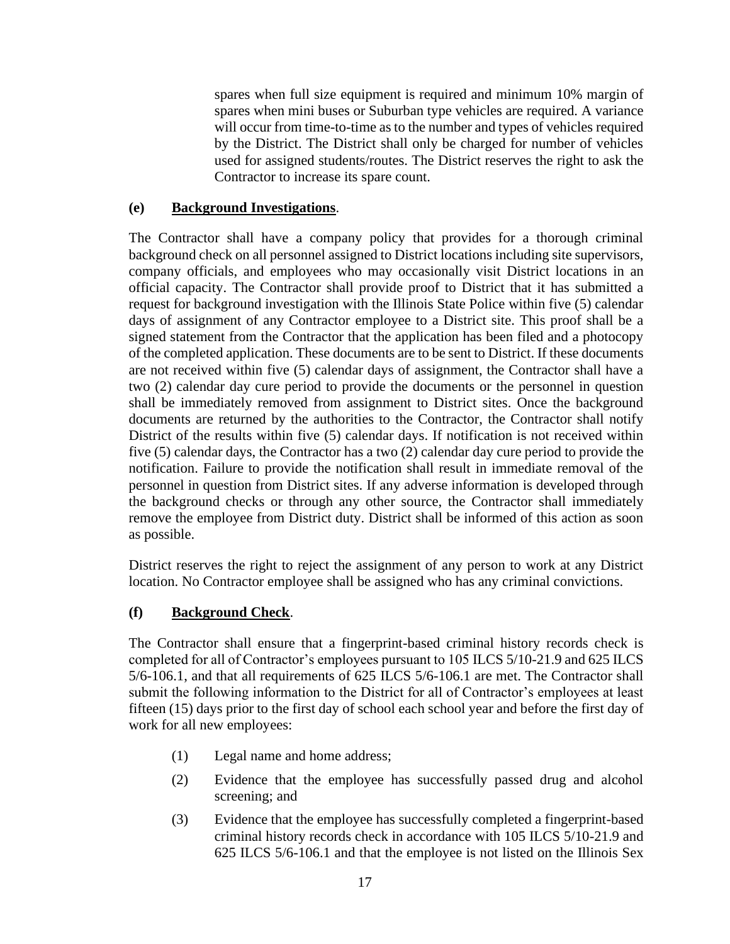spares when full size equipment is required and minimum 10% margin of spares when mini buses or Suburban type vehicles are required. A variance will occur from time-to-time as to the number and types of vehicles required by the District. The District shall only be charged for number of vehicles used for assigned students/routes. The District reserves the right to ask the Contractor to increase its spare count.

# **(e) Background Investigations**.

The Contractor shall have a company policy that provides for a thorough criminal background check on all personnel assigned to District locations including site supervisors, company officials, and employees who may occasionally visit District locations in an official capacity. The Contractor shall provide proof to District that it has submitted a request for background investigation with the Illinois State Police within five (5) calendar days of assignment of any Contractor employee to a District site. This proof shall be a signed statement from the Contractor that the application has been filed and a photocopy of the completed application. These documents are to be sent to District. If these documents are not received within five (5) calendar days of assignment, the Contractor shall have a two (2) calendar day cure period to provide the documents or the personnel in question shall be immediately removed from assignment to District sites. Once the background documents are returned by the authorities to the Contractor, the Contractor shall notify District of the results within five (5) calendar days. If notification is not received within five (5) calendar days, the Contractor has a two (2) calendar day cure period to provide the notification. Failure to provide the notification shall result in immediate removal of the personnel in question from District sites. If any adverse information is developed through the background checks or through any other source, the Contractor shall immediately remove the employee from District duty. District shall be informed of this action as soon as possible.

District reserves the right to reject the assignment of any person to work at any District location. No Contractor employee shall be assigned who has any criminal convictions.

# **(f) Background Check**.

The Contractor shall ensure that a fingerprint-based criminal history records check is completed for all of Contractor's employees pursuant to 105 ILCS 5/10-21.9 and 625 ILCS 5/6-106.1, and that all requirements of 625 ILCS 5/6-106.1 are met. The Contractor shall submit the following information to the District for all of Contractor's employees at least fifteen (15) days prior to the first day of school each school year and before the first day of work for all new employees:

- (1) Legal name and home address;
- (2) Evidence that the employee has successfully passed drug and alcohol screening; and
- (3) Evidence that the employee has successfully completed a fingerprint-based criminal history records check in accordance with 105 ILCS 5/10-21.9 and 625 ILCS 5/6-106.1 and that the employee is not listed on the Illinois Sex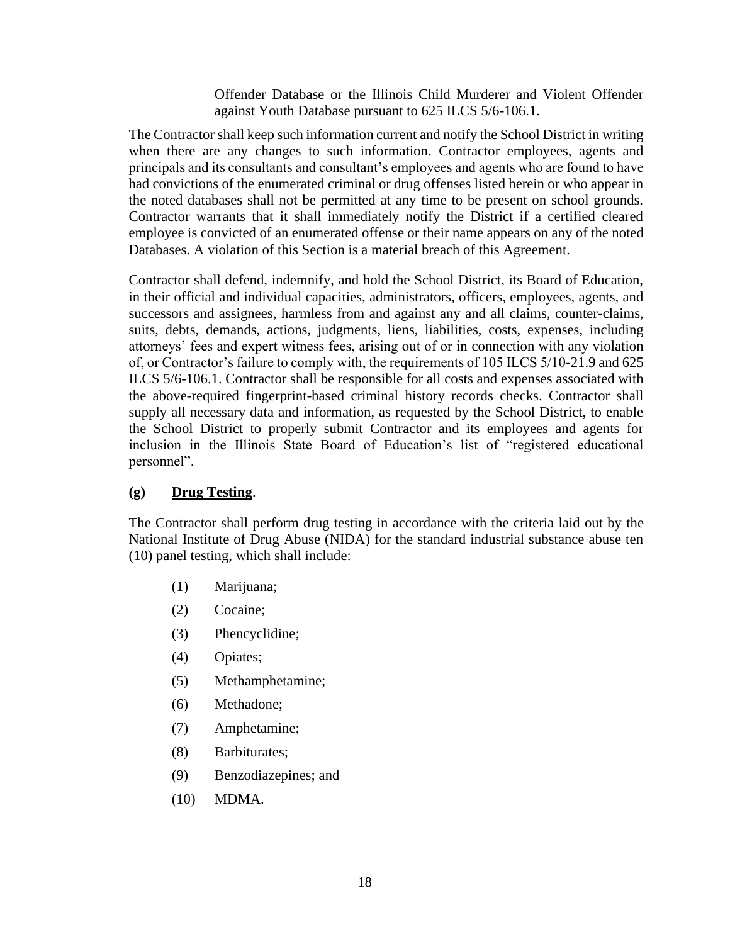Offender Database or the Illinois Child Murderer and Violent Offender against Youth Database pursuant to 625 ILCS 5/6-106.1.

The Contractor shall keep such information current and notify the School District in writing when there are any changes to such information. Contractor employees, agents and principals and its consultants and consultant's employees and agents who are found to have had convictions of the enumerated criminal or drug offenses listed herein or who appear in the noted databases shall not be permitted at any time to be present on school grounds. Contractor warrants that it shall immediately notify the District if a certified cleared employee is convicted of an enumerated offense or their name appears on any of the noted Databases. A violation of this Section is a material breach of this Agreement.

Contractor shall defend, indemnify, and hold the School District, its Board of Education, in their official and individual capacities, administrators, officers, employees, agents, and successors and assignees, harmless from and against any and all claims, counter-claims, suits, debts, demands, actions, judgments, liens, liabilities, costs, expenses, including attorneys' fees and expert witness fees, arising out of or in connection with any violation of, or Contractor's failure to comply with, the requirements of 105 ILCS 5/10-21.9 and 625 ILCS 5/6-106.1. Contractor shall be responsible for all costs and expenses associated with the above-required fingerprint-based criminal history records checks. Contractor shall supply all necessary data and information, as requested by the School District, to enable the School District to properly submit Contractor and its employees and agents for inclusion in the Illinois State Board of Education's list of "registered educational personnel".

## **(g) Drug Testing**.

The Contractor shall perform drug testing in accordance with the criteria laid out by the National Institute of Drug Abuse (NIDA) for the standard industrial substance abuse ten (10) panel testing, which shall include:

- (1) Marijuana;
- (2) Cocaine;
- (3) Phencyclidine;
- (4) Opiates;
- (5) Methamphetamine;
- (6) Methadone;
- (7) Amphetamine;
- (8) Barbiturates;
- (9) Benzodiazepines; and
- (10) MDMA.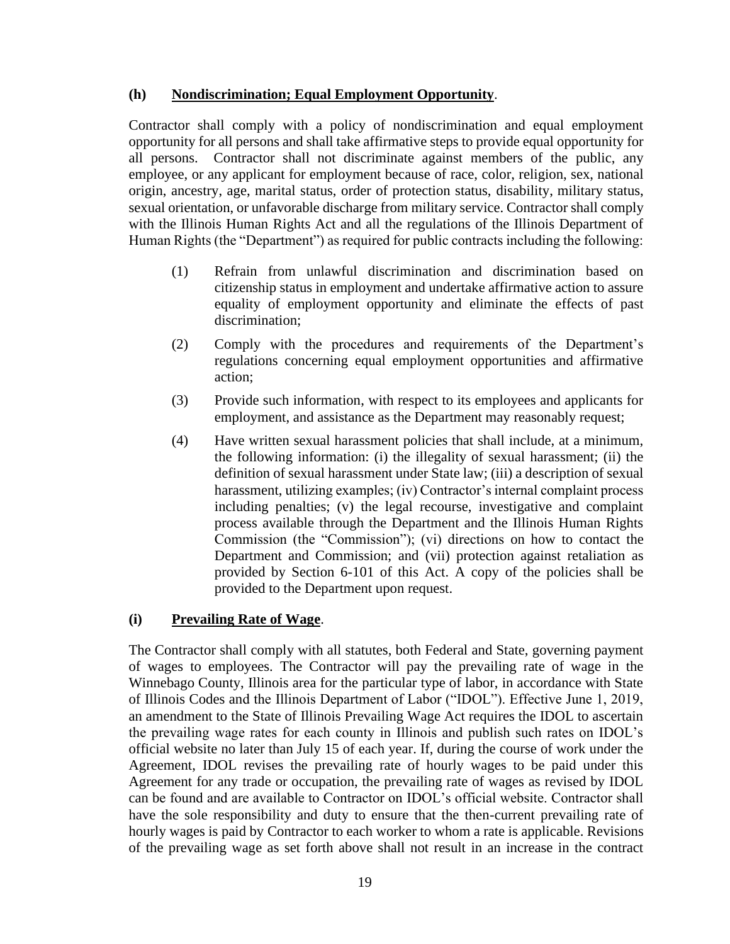# **(h) Nondiscrimination; Equal Employment Opportunity**.

Contractor shall comply with a policy of nondiscrimination and equal employment opportunity for all persons and shall take affirmative steps to provide equal opportunity for all persons. Contractor shall not discriminate against members of the public, any employee, or any applicant for employment because of race, color, religion, sex, national origin, ancestry, age, marital status, order of protection status, disability, military status, sexual orientation, or unfavorable discharge from military service. Contractor shall comply with the Illinois Human Rights Act and all the regulations of the Illinois Department of Human Rights (the "Department") as required for public contracts including the following:

- (1) Refrain from unlawful discrimination and discrimination based on citizenship status in employment and undertake affirmative action to assure equality of employment opportunity and eliminate the effects of past discrimination;
- (2) Comply with the procedures and requirements of the Department's regulations concerning equal employment opportunities and affirmative action;
- (3) Provide such information, with respect to its employees and applicants for employment, and assistance as the Department may reasonably request;
- (4) Have written sexual harassment policies that shall include, at a minimum, the following information: (i) the illegality of sexual harassment; (ii) the definition of sexual harassment under State law; (iii) a description of sexual harassment, utilizing examples; (iv) Contractor's internal complaint process including penalties; (v) the legal recourse, investigative and complaint process available through the Department and the Illinois Human Rights Commission (the "Commission"); (vi) directions on how to contact the Department and Commission; and (vii) protection against retaliation as provided by Section 6-101 of this Act. A copy of the policies shall be provided to the Department upon request.

# **(i) Prevailing Rate of Wage**.

The Contractor shall comply with all statutes, both Federal and State, governing payment of wages to employees. The Contractor will pay the prevailing rate of wage in the Winnebago County, Illinois area for the particular type of labor, in accordance with State of Illinois Codes and the Illinois Department of Labor ("IDOL"). Effective June 1, 2019, an amendment to the State of Illinois Prevailing Wage Act requires the IDOL to ascertain the prevailing wage rates for each county in Illinois and publish such rates on IDOL's official website no later than July 15 of each year. If, during the course of work under the Agreement, IDOL revises the prevailing rate of hourly wages to be paid under this Agreement for any trade or occupation, the prevailing rate of wages as revised by IDOL can be found and are available to Contractor on IDOL's official website. Contractor shall have the sole responsibility and duty to ensure that the then-current prevailing rate of hourly wages is paid by Contractor to each worker to whom a rate is applicable. Revisions of the prevailing wage as set forth above shall not result in an increase in the contract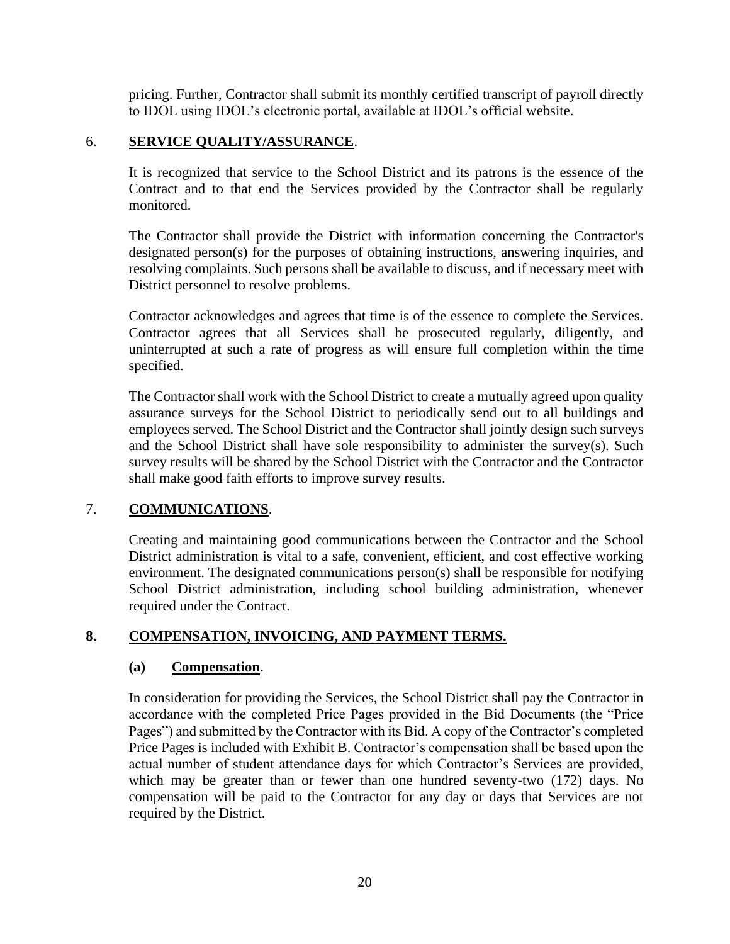pricing. Further, Contractor shall submit its monthly certified transcript of payroll directly to IDOL using IDOL's electronic portal, available at IDOL's official website.

# 6. **SERVICE QUALITY/ASSURANCE**.

It is recognized that service to the School District and its patrons is the essence of the Contract and to that end the Services provided by the Contractor shall be regularly monitored.

The Contractor shall provide the District with information concerning the Contractor's designated person(s) for the purposes of obtaining instructions, answering inquiries, and resolving complaints. Such persons shall be available to discuss, and if necessary meet with District personnel to resolve problems.

Contractor acknowledges and agrees that time is of the essence to complete the Services. Contractor agrees that all Services shall be prosecuted regularly, diligently, and uninterrupted at such a rate of progress as will ensure full completion within the time specified.

The Contractor shall work with the School District to create a mutually agreed upon quality assurance surveys for the School District to periodically send out to all buildings and employees served. The School District and the Contractor shall jointly design such surveys and the School District shall have sole responsibility to administer the survey(s). Such survey results will be shared by the School District with the Contractor and the Contractor shall make good faith efforts to improve survey results.

# 7. **COMMUNICATIONS**.

Creating and maintaining good communications between the Contractor and the School District administration is vital to a safe, convenient, efficient, and cost effective working environment. The designated communications person(s) shall be responsible for notifying School District administration, including school building administration, whenever required under the Contract.

# **8. COMPENSATION, INVOICING, AND PAYMENT TERMS.**

## **(a) Compensation**.

In consideration for providing the Services, the School District shall pay the Contractor in accordance with the completed Price Pages provided in the Bid Documents (the "Price Pages") and submitted by the Contractor with its Bid. A copy of the Contractor's completed Price Pages is included with Exhibit B. Contractor's compensation shall be based upon the actual number of student attendance days for which Contractor's Services are provided, which may be greater than or fewer than one hundred seventy-two (172) days. No compensation will be paid to the Contractor for any day or days that Services are not required by the District.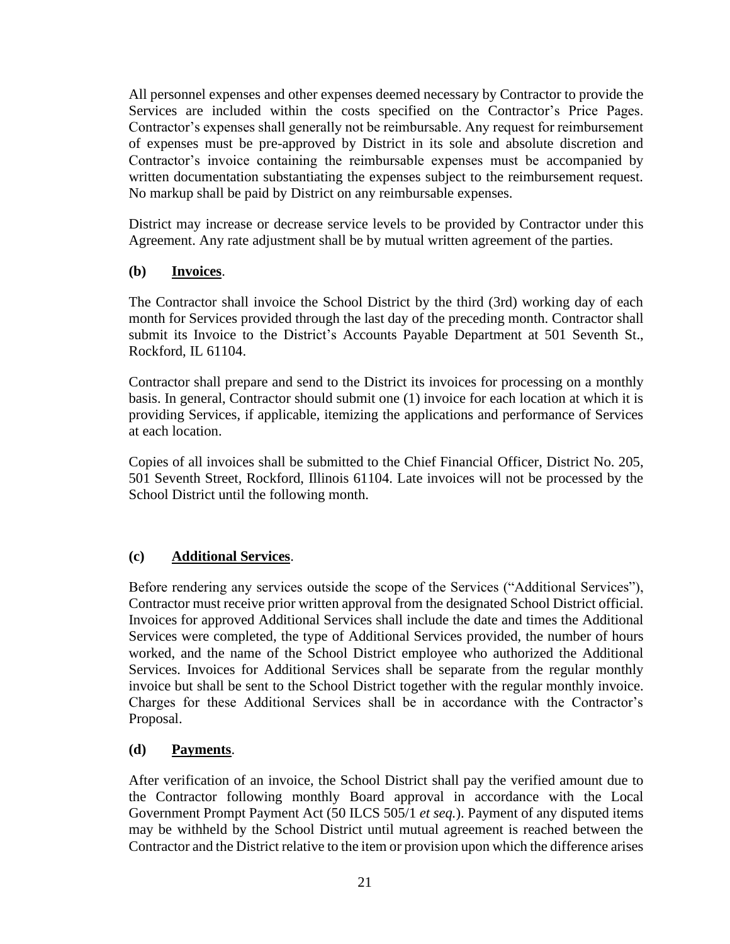All personnel expenses and other expenses deemed necessary by Contractor to provide the Services are included within the costs specified on the Contractor's Price Pages. Contractor's expenses shall generally not be reimbursable. Any request for reimbursement of expenses must be pre-approved by District in its sole and absolute discretion and Contractor's invoice containing the reimbursable expenses must be accompanied by written documentation substantiating the expenses subject to the reimbursement request. No markup shall be paid by District on any reimbursable expenses.

District may increase or decrease service levels to be provided by Contractor under this Agreement. Any rate adjustment shall be by mutual written agreement of the parties.

# **(b) Invoices**.

The Contractor shall invoice the School District by the third (3rd) working day of each month for Services provided through the last day of the preceding month. Contractor shall submit its Invoice to the District's Accounts Payable Department at 501 Seventh St., Rockford, IL 61104.

Contractor shall prepare and send to the District its invoices for processing on a monthly basis. In general, Contractor should submit one (1) invoice for each location at which it is providing Services, if applicable, itemizing the applications and performance of Services at each location.

Copies of all invoices shall be submitted to the Chief Financial Officer, District No. 205, 501 Seventh Street, Rockford, Illinois 61104. Late invoices will not be processed by the School District until the following month.

# **(c) Additional Services**.

Before rendering any services outside the scope of the Services ("Additional Services"), Contractor must receive prior written approval from the designated School District official. Invoices for approved Additional Services shall include the date and times the Additional Services were completed, the type of Additional Services provided, the number of hours worked, and the name of the School District employee who authorized the Additional Services. Invoices for Additional Services shall be separate from the regular monthly invoice but shall be sent to the School District together with the regular monthly invoice. Charges for these Additional Services shall be in accordance with the Contractor's Proposal.

# **(d) Payments**.

After verification of an invoice, the School District shall pay the verified amount due to the Contractor following monthly Board approval in accordance with the Local Government Prompt Payment Act (50 ILCS 505/1 *et seq.*). Payment of any disputed items may be withheld by the School District until mutual agreement is reached between the Contractor and the District relative to the item or provision upon which the difference arises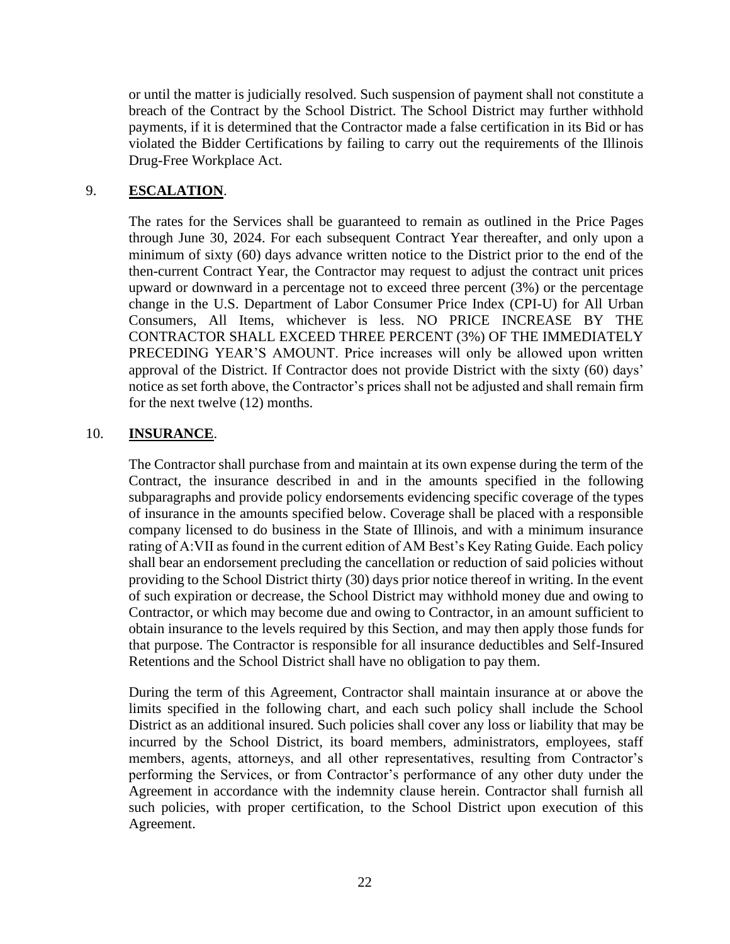or until the matter is judicially resolved. Such suspension of payment shall not constitute a breach of the Contract by the School District. The School District may further withhold payments, if it is determined that the Contractor made a false certification in its Bid or has violated the Bidder Certifications by failing to carry out the requirements of the Illinois Drug-Free Workplace Act.

# 9. **ESCALATION**.

The rates for the Services shall be guaranteed to remain as outlined in the Price Pages through June 30, 2024. For each subsequent Contract Year thereafter, and only upon a minimum of sixty (60) days advance written notice to the District prior to the end of the then-current Contract Year, the Contractor may request to adjust the contract unit prices upward or downward in a percentage not to exceed three percent (3%) or the percentage change in the U.S. Department of Labor Consumer Price Index (CPI-U) for All Urban Consumers, All Items, whichever is less. NO PRICE INCREASE BY THE CONTRACTOR SHALL EXCEED THREE PERCENT (3%) OF THE IMMEDIATELY PRECEDING YEAR'S AMOUNT. Price increases will only be allowed upon written approval of the District. If Contractor does not provide District with the sixty (60) days' notice as set forth above, the Contractor's prices shall not be adjusted and shall remain firm for the next twelve (12) months.

## 10. **INSURANCE**.

The Contractor shall purchase from and maintain at its own expense during the term of the Contract, the insurance described in and in the amounts specified in the following subparagraphs and provide policy endorsements evidencing specific coverage of the types of insurance in the amounts specified below. Coverage shall be placed with a responsible company licensed to do business in the State of Illinois, and with a minimum insurance rating of A:VII as found in the current edition of AM Best's Key Rating Guide. Each policy shall bear an endorsement precluding the cancellation or reduction of said policies without providing to the School District thirty (30) days prior notice thereof in writing. In the event of such expiration or decrease, the School District may withhold money due and owing to Contractor, or which may become due and owing to Contractor, in an amount sufficient to obtain insurance to the levels required by this Section, and may then apply those funds for that purpose. The Contractor is responsible for all insurance deductibles and Self-Insured Retentions and the School District shall have no obligation to pay them.

During the term of this Agreement, Contractor shall maintain insurance at or above the limits specified in the following chart, and each such policy shall include the School District as an additional insured. Such policies shall cover any loss or liability that may be incurred by the School District, its board members, administrators, employees, staff members, agents, attorneys, and all other representatives, resulting from Contractor's performing the Services, or from Contractor's performance of any other duty under the Agreement in accordance with the indemnity clause herein. Contractor shall furnish all such policies, with proper certification, to the School District upon execution of this Agreement.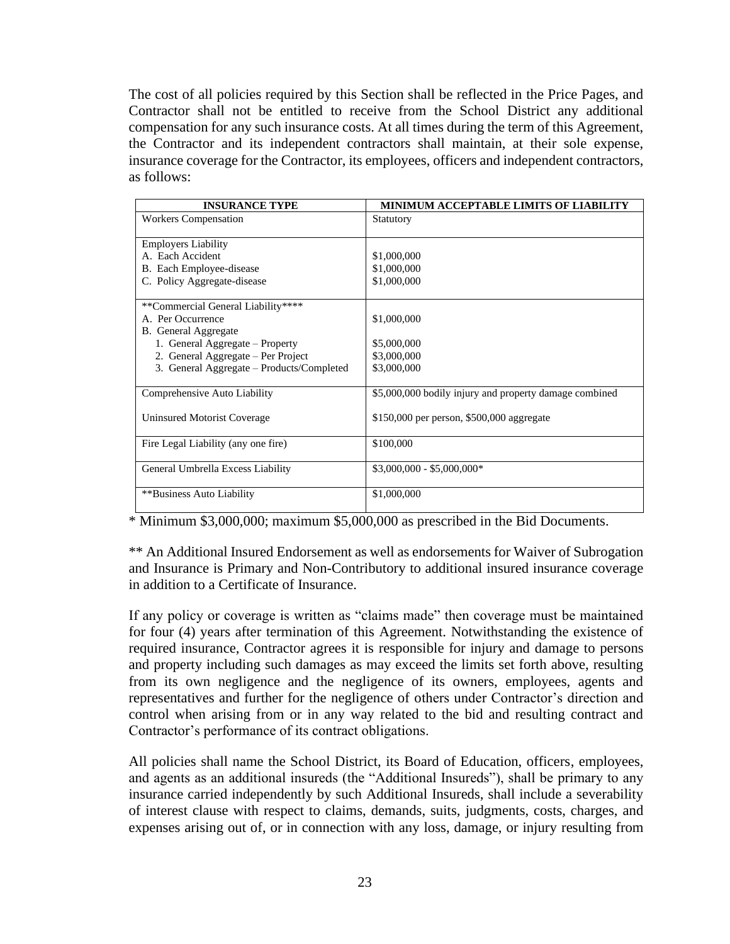The cost of all policies required by this Section shall be reflected in the Price Pages, and Contractor shall not be entitled to receive from the School District any additional compensation for any such insurance costs. At all times during the term of this Agreement, the Contractor and its independent contractors shall maintain, at their sole expense, insurance coverage for the Contractor, its employees, officers and independent contractors, as follows:

| <b>INSURANCE TYPE</b>                     | <b>MINIMUM ACCEPTABLE LIMITS OF LIABILITY</b>          |
|-------------------------------------------|--------------------------------------------------------|
| <b>Workers Compensation</b>               | Statutory                                              |
| <b>Employers Liability</b>                |                                                        |
| A. Each Accident                          | \$1,000,000                                            |
| B. Each Employee-disease                  | \$1,000,000                                            |
| C. Policy Aggregate-disease               | \$1,000,000                                            |
| **Commercial General Liability****        |                                                        |
| A. Per Occurrence                         | \$1,000,000                                            |
| <b>B.</b> General Aggregate               |                                                        |
| 1. General Aggregate - Property           | \$5,000,000                                            |
| 2. General Aggregate – Per Project        | \$3,000,000                                            |
| 3. General Aggregate – Products/Completed | \$3,000,000                                            |
| Comprehensive Auto Liability              | \$5,000,000 bodily injury and property damage combined |
| Uninsured Motorist Coverage               | \$150,000 per person, \$500,000 aggregate              |
| Fire Legal Liability (any one fire)       | \$100,000                                              |
| General Umbrella Excess Liability         | $$3,000,000 - $5,000,000*$                             |
| ** Business Auto Liability                | \$1,000,000                                            |

\* Minimum \$3,000,000; maximum \$5,000,000 as prescribed in the Bid Documents.

\*\* An Additional Insured Endorsement as well as endorsements for Waiver of Subrogation and Insurance is Primary and Non-Contributory to additional insured insurance coverage in addition to a Certificate of Insurance.

If any policy or coverage is written as "claims made" then coverage must be maintained for four (4) years after termination of this Agreement. Notwithstanding the existence of required insurance, Contractor agrees it is responsible for injury and damage to persons and property including such damages as may exceed the limits set forth above, resulting from its own negligence and the negligence of its owners, employees, agents and representatives and further for the negligence of others under Contractor's direction and control when arising from or in any way related to the bid and resulting contract and Contractor's performance of its contract obligations.

All policies shall name the School District, its Board of Education, officers, employees, and agents as an additional insureds (the "Additional Insureds"), shall be primary to any insurance carried independently by such Additional Insureds, shall include a severability of interest clause with respect to claims, demands, suits, judgments, costs, charges, and expenses arising out of, or in connection with any loss, damage, or injury resulting from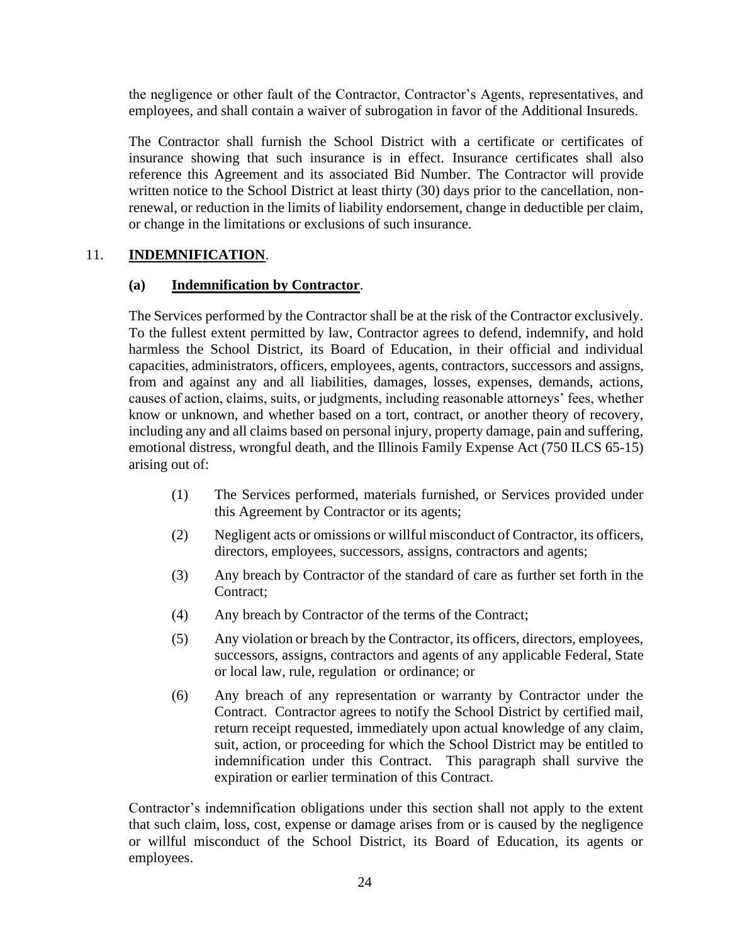the negligence or other fault of the Contractor, Contractor's Agents, representatives, and employees, and shall contain a waiver of subrogation in favor of the Additional Insureds.

The Contractor shall furnish the School District with a certificate or certificates of insurance showing that such insurance is in effect. Insurance certificates shall also reference this Agreement and its associated Bid Number. The Contractor will provide written notice to the School District at least thirty (30) days prior to the cancellation, nonrenewal, or reduction in the limits of liability endorsement, change in deductible per claim, or change in the limitations or exclusions of such insurance.

# 11. **INDEMNIFICATION**.

## **(a) Indemnification by Contractor**.

The Services performed by the Contractor shall be at the risk of the Contractor exclusively. To the fullest extent permitted by law, Contractor agrees to defend, indemnify, and hold harmless the School District, its Board of Education, in their official and individual capacities, administrators, officers, employees, agents, contractors, successors and assigns, from and against any and all liabilities, damages, losses, expenses, demands, actions, causes of action, claims, suits, or judgments, including reasonable attorneys' fees, whether know or unknown, and whether based on a tort, contract, or another theory of recovery, including any and all claims based on personal injury, property damage, pain and suffering, emotional distress, wrongful death, and the Illinois Family Expense Act (750 ILCS 65-15) arising out of:

- (1) The Services performed, materials furnished, or Services provided under this Agreement by Contractor or its agents;
- (2) Negligent acts or omissions or willful misconduct of Contractor, its officers, directors, employees, successors, assigns, contractors and agents;
- (3) Any breach by Contractor of the standard of care as further set forth in the Contract;
- (4) Any breach by Contractor of the terms of the Contract;
- (5) Any violation or breach by the Contractor, its officers, directors, employees, successors, assigns, contractors and agents of any applicable Federal, State or local law, rule, regulation or ordinance; or
- (6) Any breach of any representation or warranty by Contractor under the Contract. Contractor agrees to notify the School District by certified mail, return receipt requested, immediately upon actual knowledge of any claim, suit, action, or proceeding for which the School District may be entitled to indemnification under this Contract. This paragraph shall survive the expiration or earlier termination of this Contract.

Contractor's indemnification obligations under this section shall not apply to the extent that such claim, loss, cost, expense or damage arises from or is caused by the negligence or willful misconduct of the School District, its Board of Education, its agents or employees.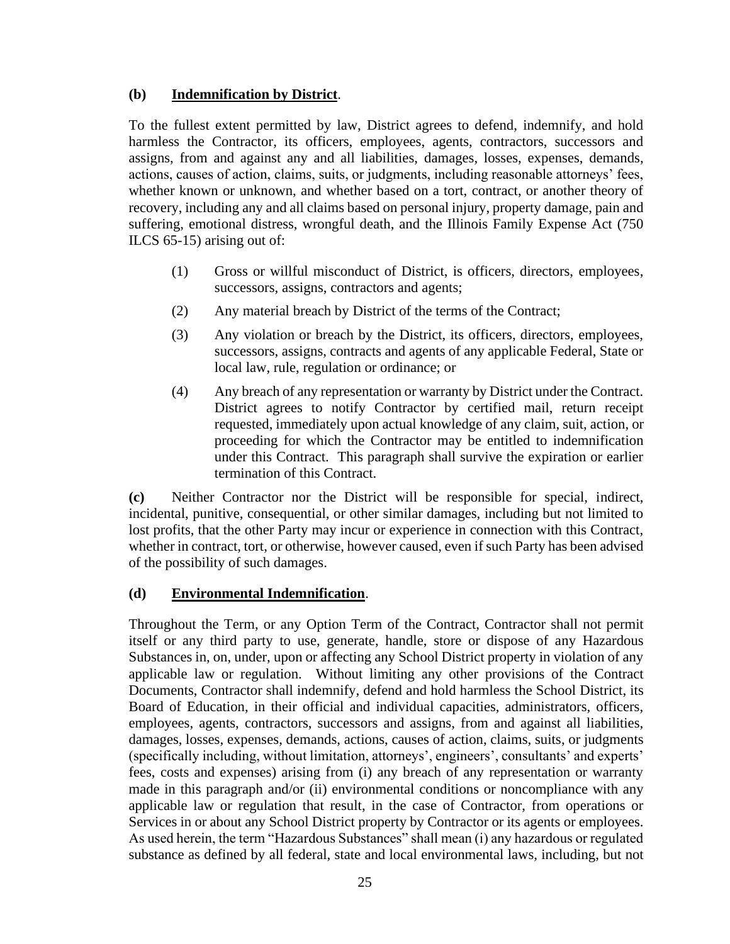# **(b) Indemnification by District**.

To the fullest extent permitted by law, District agrees to defend, indemnify, and hold harmless the Contractor, its officers, employees, agents, contractors, successors and assigns, from and against any and all liabilities, damages, losses, expenses, demands, actions, causes of action, claims, suits, or judgments, including reasonable attorneys' fees, whether known or unknown, and whether based on a tort, contract, or another theory of recovery, including any and all claims based on personal injury, property damage, pain and suffering, emotional distress, wrongful death, and the Illinois Family Expense Act (750 ILCS 65-15) arising out of:

- (1) Gross or willful misconduct of District, is officers, directors, employees, successors, assigns, contractors and agents;
- (2) Any material breach by District of the terms of the Contract;
- (3) Any violation or breach by the District, its officers, directors, employees, successors, assigns, contracts and agents of any applicable Federal, State or local law, rule, regulation or ordinance; or
- (4) Any breach of any representation or warranty by District under the Contract. District agrees to notify Contractor by certified mail, return receipt requested, immediately upon actual knowledge of any claim, suit, action, or proceeding for which the Contractor may be entitled to indemnification under this Contract. This paragraph shall survive the expiration or earlier termination of this Contract.

**(c)** Neither Contractor nor the District will be responsible for special, indirect, incidental, punitive, consequential, or other similar damages, including but not limited to lost profits, that the other Party may incur or experience in connection with this Contract, whether in contract, tort, or otherwise, however caused, even if such Party has been advised of the possibility of such damages.

## **(d) Environmental Indemnification**.

Throughout the Term, or any Option Term of the Contract, Contractor shall not permit itself or any third party to use, generate, handle, store or dispose of any Hazardous Substances in, on, under, upon or affecting any School District property in violation of any applicable law or regulation. Without limiting any other provisions of the Contract Documents, Contractor shall indemnify, defend and hold harmless the School District, its Board of Education, in their official and individual capacities, administrators, officers, employees, agents, contractors, successors and assigns, from and against all liabilities, damages, losses, expenses, demands, actions, causes of action, claims, suits, or judgments (specifically including, without limitation, attorneys', engineers', consultants' and experts' fees, costs and expenses) arising from (i) any breach of any representation or warranty made in this paragraph and/or (ii) environmental conditions or noncompliance with any applicable law or regulation that result, in the case of Contractor, from operations or Services in or about any School District property by Contractor or its agents or employees. As used herein, the term "Hazardous Substances" shall mean (i) any hazardous or regulated substance as defined by all federal, state and local environmental laws, including, but not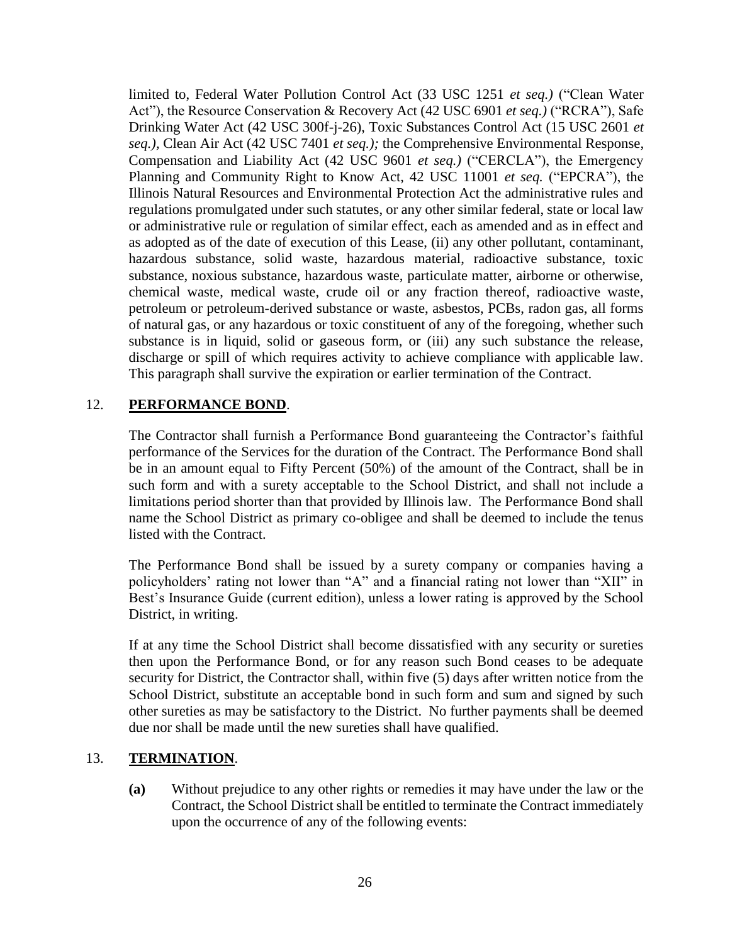limited to, Federal Water Pollution Control Act (33 USC 1251 *et seq.)* ("Clean Water Act"), the Resource Conservation & Recovery Act (42 USC 6901 *et seq.)* ("RCRA"), Safe Drinking Water Act (42 USC 300f-j-26), Toxic Substances Control Act (15 USC 2601 *et seq.),* Clean Air Act (42 USC 7401 *et seq.);* the Comprehensive Environmental Response, Compensation and Liability Act (42 USC 9601 *et seq.)* ("CERCLA"), the Emergency Planning and Community Right to Know Act, 42 USC 11001 *et seq.* ("EPCRA"), the Illinois Natural Resources and Environmental Protection Act the administrative rules and regulations promulgated under such statutes, or any other similar federal, state or local law or administrative rule or regulation of similar effect, each as amended and as in effect and as adopted as of the date of execution of this Lease, (ii) any other pollutant, contaminant, hazardous substance, solid waste, hazardous material, radioactive substance, toxic substance, noxious substance, hazardous waste, particulate matter, airborne or otherwise, chemical waste, medical waste, crude oil or any fraction thereof, radioactive waste, petroleum or petroleum-derived substance or waste, asbestos, PCBs, radon gas, all forms of natural gas, or any hazardous or toxic constituent of any of the foregoing, whether such substance is in liquid, solid or gaseous form, or (iii) any such substance the release, discharge or spill of which requires activity to achieve compliance with applicable law. This paragraph shall survive the expiration or earlier termination of the Contract.

# 12. **PERFORMANCE BOND**.

The Contractor shall furnish a Performance Bond guaranteeing the Contractor's faithful performance of the Services for the duration of the Contract. The Performance Bond shall be in an amount equal to Fifty Percent (50%) of the amount of the Contract, shall be in such form and with a surety acceptable to the School District, and shall not include a limitations period shorter than that provided by Illinois law. The Performance Bond shall name the School District as primary co-obligee and shall be deemed to include the tenus listed with the Contract.

The Performance Bond shall be issued by a surety company or companies having a policyholders' rating not lower than "A" and a financial rating not lower than "XII" in Best's Insurance Guide (current edition), unless a lower rating is approved by the School District, in writing.

If at any time the School District shall become dissatisfied with any security or sureties then upon the Performance Bond, or for any reason such Bond ceases to be adequate security for District, the Contractor shall, within five (5) days after written notice from the School District, substitute an acceptable bond in such form and sum and signed by such other sureties as may be satisfactory to the District. No further payments shall be deemed due nor shall be made until the new sureties shall have qualified.

## 13. **TERMINATION**.

**(a)** Without prejudice to any other rights or remedies it may have under the law or the Contract, the School District shall be entitled to terminate the Contract immediately upon the occurrence of any of the following events: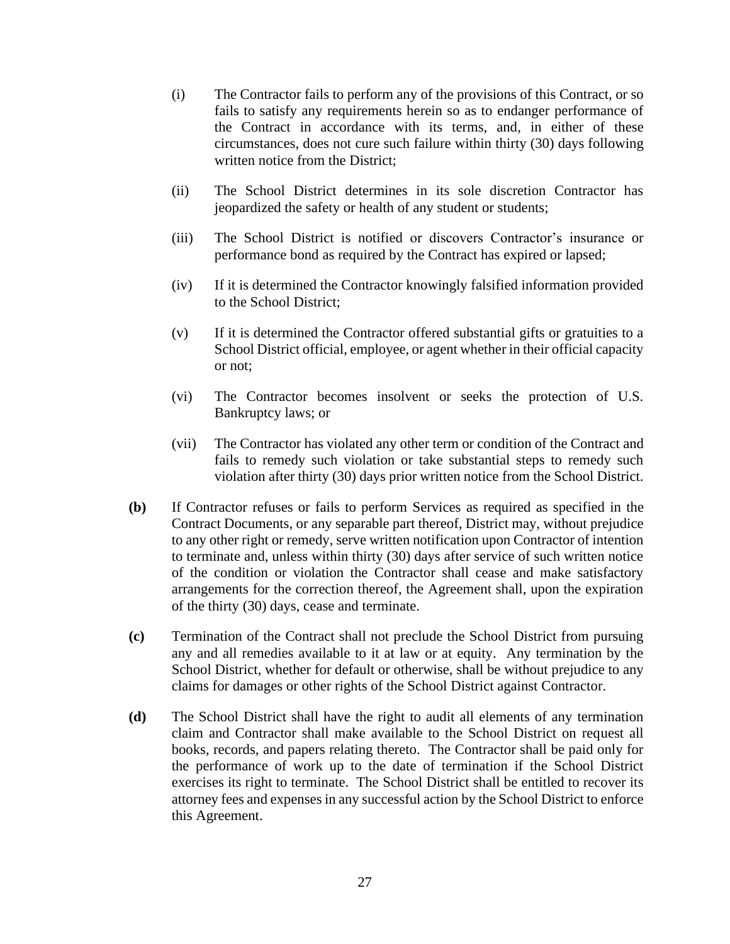- (i) The Contractor fails to perform any of the provisions of this Contract, or so fails to satisfy any requirements herein so as to endanger performance of the Contract in accordance with its terms, and, in either of these circumstances, does not cure such failure within thirty (30) days following written notice from the District;
- (ii) The School District determines in its sole discretion Contractor has jeopardized the safety or health of any student or students;
- (iii) The School District is notified or discovers Contractor's insurance or performance bond as required by the Contract has expired or lapsed;
- (iv) If it is determined the Contractor knowingly falsified information provided to the School District;
- (v) If it is determined the Contractor offered substantial gifts or gratuities to a School District official, employee, or agent whether in their official capacity or not;
- (vi) The Contractor becomes insolvent or seeks the protection of U.S. Bankruptcy laws; or
- (vii) The Contractor has violated any other term or condition of the Contract and fails to remedy such violation or take substantial steps to remedy such violation after thirty (30) days prior written notice from the School District.
- **(b)** If Contractor refuses or fails to perform Services as required as specified in the Contract Documents, or any separable part thereof, District may, without prejudice to any other right or remedy, serve written notification upon Contractor of intention to terminate and, unless within thirty (30) days after service of such written notice of the condition or violation the Contractor shall cease and make satisfactory arrangements for the correction thereof, the Agreement shall, upon the expiration of the thirty (30) days, cease and terminate.
- **(c)** Termination of the Contract shall not preclude the School District from pursuing any and all remedies available to it at law or at equity. Any termination by the School District, whether for default or otherwise, shall be without prejudice to any claims for damages or other rights of the School District against Contractor.
- **(d)** The School District shall have the right to audit all elements of any termination claim and Contractor shall make available to the School District on request all books, records, and papers relating thereto. The Contractor shall be paid only for the performance of work up to the date of termination if the School District exercises its right to terminate. The School District shall be entitled to recover its attorney fees and expenses in any successful action by the School District to enforce this Agreement.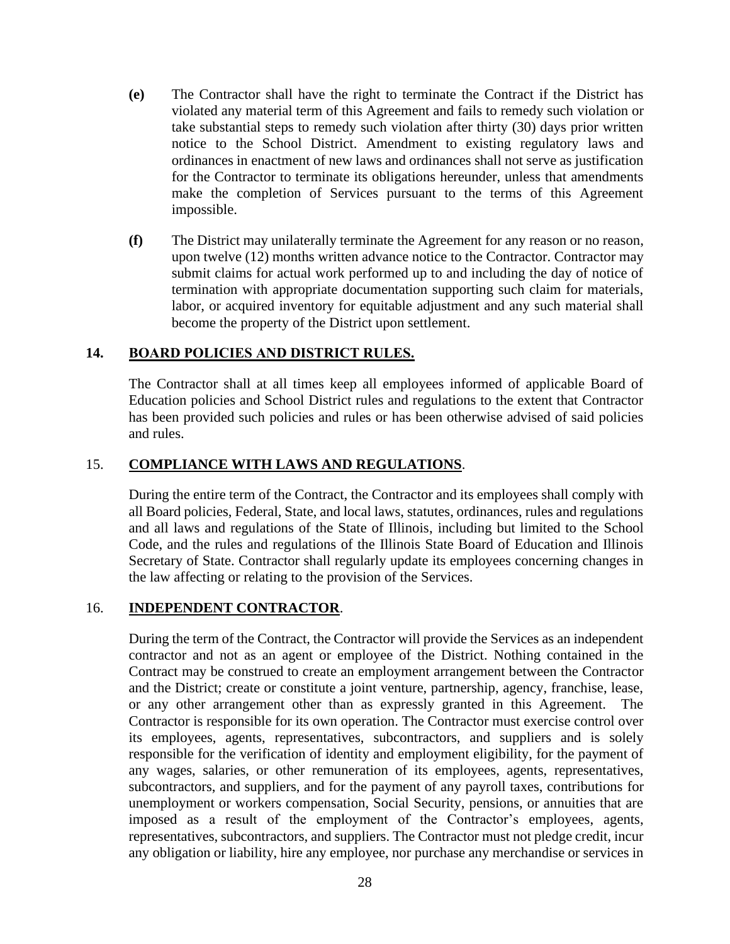- **(e)** The Contractor shall have the right to terminate the Contract if the District has violated any material term of this Agreement and fails to remedy such violation or take substantial steps to remedy such violation after thirty (30) days prior written notice to the School District. Amendment to existing regulatory laws and ordinances in enactment of new laws and ordinances shall not serve as justification for the Contractor to terminate its obligations hereunder, unless that amendments make the completion of Services pursuant to the terms of this Agreement impossible.
- **(f)** The District may unilaterally terminate the Agreement for any reason or no reason, upon twelve (12) months written advance notice to the Contractor. Contractor may submit claims for actual work performed up to and including the day of notice of termination with appropriate documentation supporting such claim for materials, labor, or acquired inventory for equitable adjustment and any such material shall become the property of the District upon settlement.

# **14. BOARD POLICIES AND DISTRICT RULES.**

The Contractor shall at all times keep all employees informed of applicable Board of Education policies and School District rules and regulations to the extent that Contractor has been provided such policies and rules or has been otherwise advised of said policies and rules.

## 15. **COMPLIANCE WITH LAWS AND REGULATIONS**.

During the entire term of the Contract, the Contractor and its employees shall comply with all Board policies, Federal, State, and local laws, statutes, ordinances, rules and regulations and all laws and regulations of the State of Illinois, including but limited to the School Code, and the rules and regulations of the Illinois State Board of Education and Illinois Secretary of State. Contractor shall regularly update its employees concerning changes in the law affecting or relating to the provision of the Services.

## 16. **INDEPENDENT CONTRACTOR**.

During the term of the Contract, the Contractor will provide the Services as an independent contractor and not as an agent or employee of the District. Nothing contained in the Contract may be construed to create an employment arrangement between the Contractor and the District; create or constitute a joint venture, partnership, agency, franchise, lease, or any other arrangement other than as expressly granted in this Agreement. The Contractor is responsible for its own operation. The Contractor must exercise control over its employees, agents, representatives, subcontractors, and suppliers and is solely responsible for the verification of identity and employment eligibility, for the payment of any wages, salaries, or other remuneration of its employees, agents, representatives, subcontractors, and suppliers, and for the payment of any payroll taxes, contributions for unemployment or workers compensation, Social Security, pensions, or annuities that are imposed as a result of the employment of the Contractor's employees, agents, representatives, subcontractors, and suppliers. The Contractor must not pledge credit, incur any obligation or liability, hire any employee, nor purchase any merchandise or services in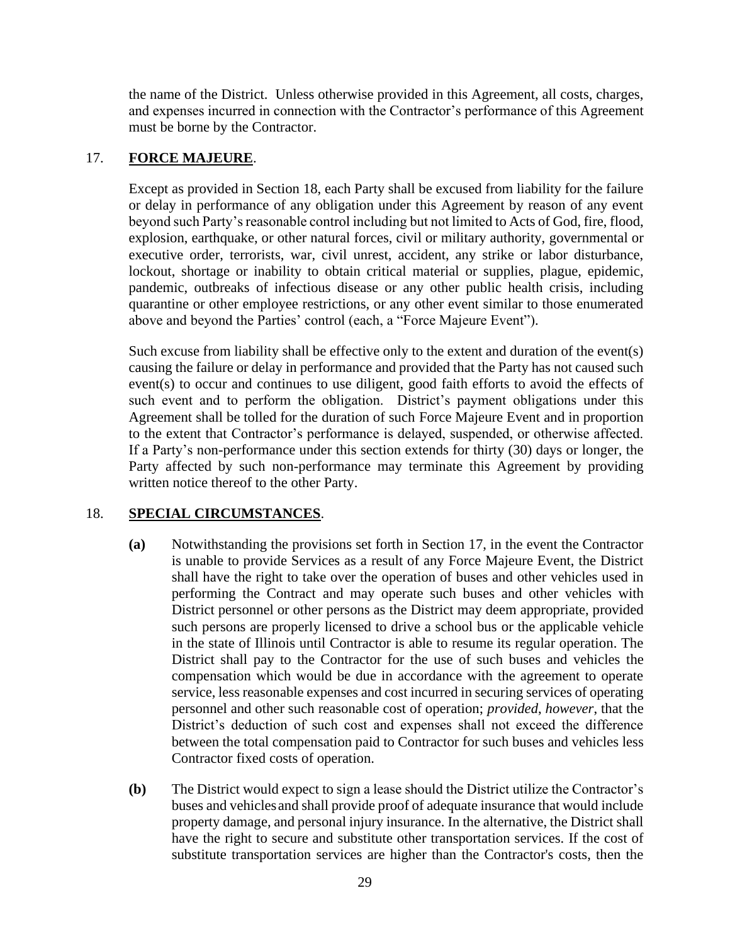the name of the District. Unless otherwise provided in this Agreement, all costs, charges, and expenses incurred in connection with the Contractor's performance of this Agreement must be borne by the Contractor.

# <span id="page-38-1"></span>17. **FORCE MAJEURE**.

Except as provided in Section [18,](#page-38-0) each Party shall be excused from liability for the failure or delay in performance of any obligation under this Agreement by reason of any event beyond such Party's reasonable control including but not limited to Acts of God, fire, flood, explosion, earthquake, or other natural forces, civil or military authority, governmental or executive order, terrorists, war, civil unrest, accident, any strike or labor disturbance, lockout, shortage or inability to obtain critical material or supplies, plague, epidemic, pandemic, outbreaks of infectious disease or any other public health crisis, including quarantine or other employee restrictions, or any other event similar to those enumerated above and beyond the Parties' control (each, a "Force Majeure Event").

Such excuse from liability shall be effective only to the extent and duration of the event(s) causing the failure or delay in performance and provided that the Party has not caused such event(s) to occur and continues to use diligent, good faith efforts to avoid the effects of such event and to perform the obligation. District's payment obligations under this Agreement shall be tolled for the duration of such Force Majeure Event and in proportion to the extent that Contractor's performance is delayed, suspended, or otherwise affected. If a Party's non-performance under this section extends for thirty (30) days or longer, the Party affected by such non-performance may terminate this Agreement by providing written notice thereof to the other Party.

# <span id="page-38-0"></span>18. **SPECIAL CIRCUMSTANCES**.

- **(a)** Notwithstanding the provisions set forth in Section [17,](#page-38-1) in the event the Contractor is unable to provide Services as a result of any Force Majeure Event, the District shall have the right to take over the operation of buses and other vehicles used in performing the Contract and may operate such buses and other vehicles with District personnel or other persons as the District may deem appropriate, provided such persons are properly licensed to drive a school bus or the applicable vehicle in the state of Illinois until Contractor is able to resume its regular operation. The District shall pay to the Contractor for the use of such buses and vehicles the compensation which would be due in accordance with the agreement to operate service, less reasonable expenses and cost incurred in securing services of operating personnel and other such reasonable cost of operation; *provided*, *however*, that the District's deduction of such cost and expenses shall not exceed the difference between the total compensation paid to Contractor for such buses and vehicles less Contractor fixed costs of operation.
- **(b)** The District would expect to sign a lease should the District utilize the Contractor's buses and vehiclesand shall provide proof of adequate insurance that would include property damage, and personal injury insurance. In the alternative, the District shall have the right to secure and substitute other transportation services. If the cost of substitute transportation services are higher than the Contractor's costs, then the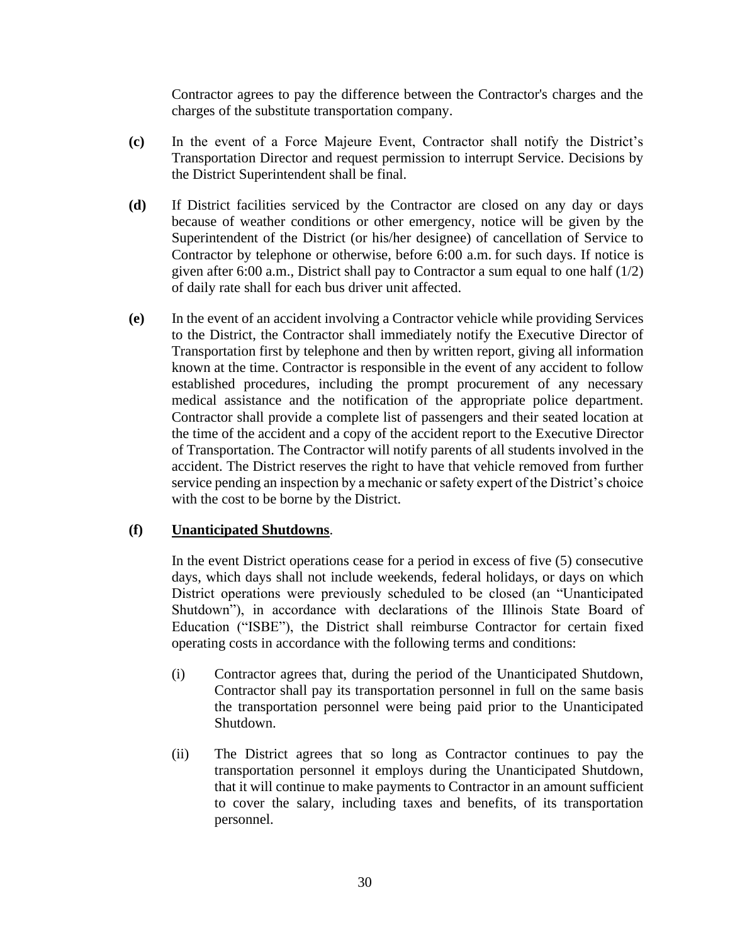Contractor agrees to pay the difference between the Contractor's charges and the charges of the substitute transportation company.

- **(c)** In the event of a Force Majeure Event, Contractor shall notify the District's Transportation Director and request permission to interrupt Service. Decisions by the District Superintendent shall be final.
- **(d)** If District facilities serviced by the Contractor are closed on any day or days because of weather conditions or other emergency, notice will be given by the Superintendent of the District (or his/her designee) of cancellation of Service to Contractor by telephone or otherwise, before 6:00 a.m. for such days. If notice is given after 6:00 a.m., District shall pay to Contractor a sum equal to one half (1/2) of daily rate shall for each bus driver unit affected.
- **(e)** In the event of an accident involving a Contractor vehicle while providing Services to the District, the Contractor shall immediately notify the Executive Director of Transportation first by telephone and then by written report, giving all information known at the time. Contractor is responsible in the event of any accident to follow established procedures, including the prompt procurement of any necessary medical assistance and the notification of the appropriate police department. Contractor shall provide a complete list of passengers and their seated location at the time of the accident and a copy of the accident report to the Executive Director of Transportation. The Contractor will notify parents of all students involved in the accident. The District reserves the right to have that vehicle removed from further service pending an inspection by a mechanic or safety expert of the District's choice with the cost to be borne by the District.

# **(f) Unanticipated Shutdowns**.

In the event District operations cease for a period in excess of five (5) consecutive days, which days shall not include weekends, federal holidays, or days on which District operations were previously scheduled to be closed (an "Unanticipated Shutdown"), in accordance with declarations of the Illinois State Board of Education ("ISBE"), the District shall reimburse Contractor for certain fixed operating costs in accordance with the following terms and conditions:

- (i) Contractor agrees that, during the period of the Unanticipated Shutdown, Contractor shall pay its transportation personnel in full on the same basis the transportation personnel were being paid prior to the Unanticipated Shutdown.
- (ii) The District agrees that so long as Contractor continues to pay the transportation personnel it employs during the Unanticipated Shutdown, that it will continue to make payments to Contractor in an amount sufficient to cover the salary, including taxes and benefits, of its transportation personnel.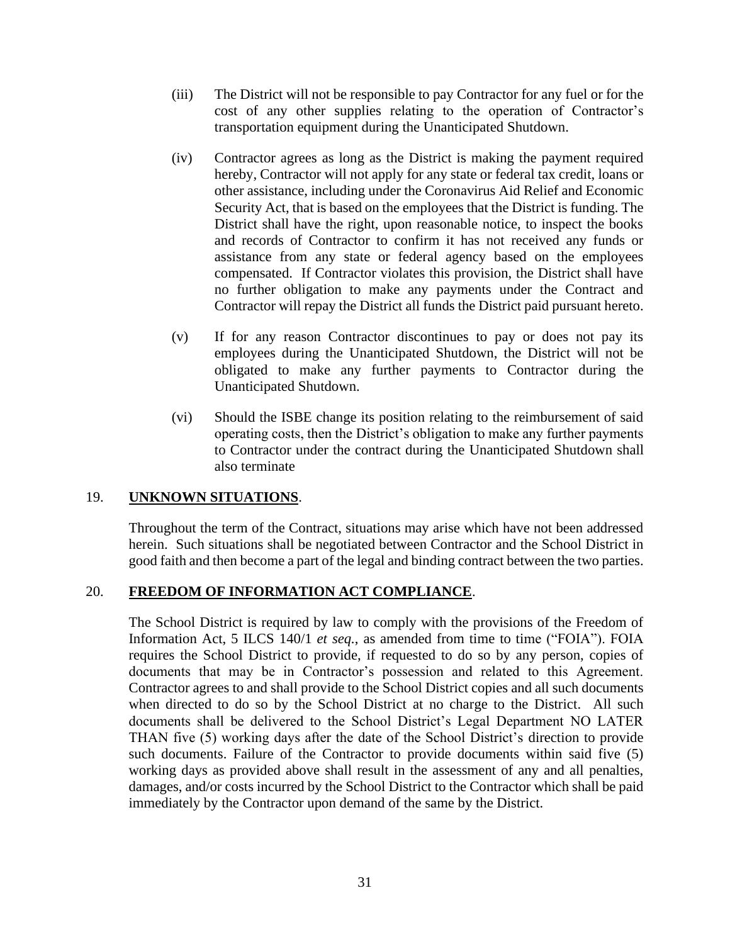- (iii) The District will not be responsible to pay Contractor for any fuel or for the cost of any other supplies relating to the operation of Contractor's transportation equipment during the Unanticipated Shutdown.
- (iv) Contractor agrees as long as the District is making the payment required hereby, Contractor will not apply for any state or federal tax credit, loans or other assistance, including under the Coronavirus Aid Relief and Economic Security Act, that is based on the employees that the District is funding. The District shall have the right, upon reasonable notice, to inspect the books and records of Contractor to confirm it has not received any funds or assistance from any state or federal agency based on the employees compensated. If Contractor violates this provision, the District shall have no further obligation to make any payments under the Contract and Contractor will repay the District all funds the District paid pursuant hereto.
- (v) If for any reason Contractor discontinues to pay or does not pay its employees during the Unanticipated Shutdown, the District will not be obligated to make any further payments to Contractor during the Unanticipated Shutdown.
- (vi) Should the ISBE change its position relating to the reimbursement of said operating costs, then the District's obligation to make any further payments to Contractor under the contract during the Unanticipated Shutdown shall also terminate

# 19. **UNKNOWN SITUATIONS**.

Throughout the term of the Contract, situations may arise which have not been addressed herein. Such situations shall be negotiated between Contractor and the School District in good faith and then become a part of the legal and binding contract between the two parties.

## 20. **FREEDOM OF INFORMATION ACT COMPLIANCE**.

The School District is required by law to comply with the provisions of the Freedom of Information Act, 5 ILCS 140/1 *et seq.*, as amended from time to time ("FOIA"). FOIA requires the School District to provide, if requested to do so by any person, copies of documents that may be in Contractor's possession and related to this Agreement. Contractor agrees to and shall provide to the School District copies and all such documents when directed to do so by the School District at no charge to the District. All such documents shall be delivered to the School District's Legal Department NO LATER THAN five (5) working days after the date of the School District's direction to provide such documents. Failure of the Contractor to provide documents within said five (5) working days as provided above shall result in the assessment of any and all penalties, damages, and/or costs incurred by the School District to the Contractor which shall be paid immediately by the Contractor upon demand of the same by the District.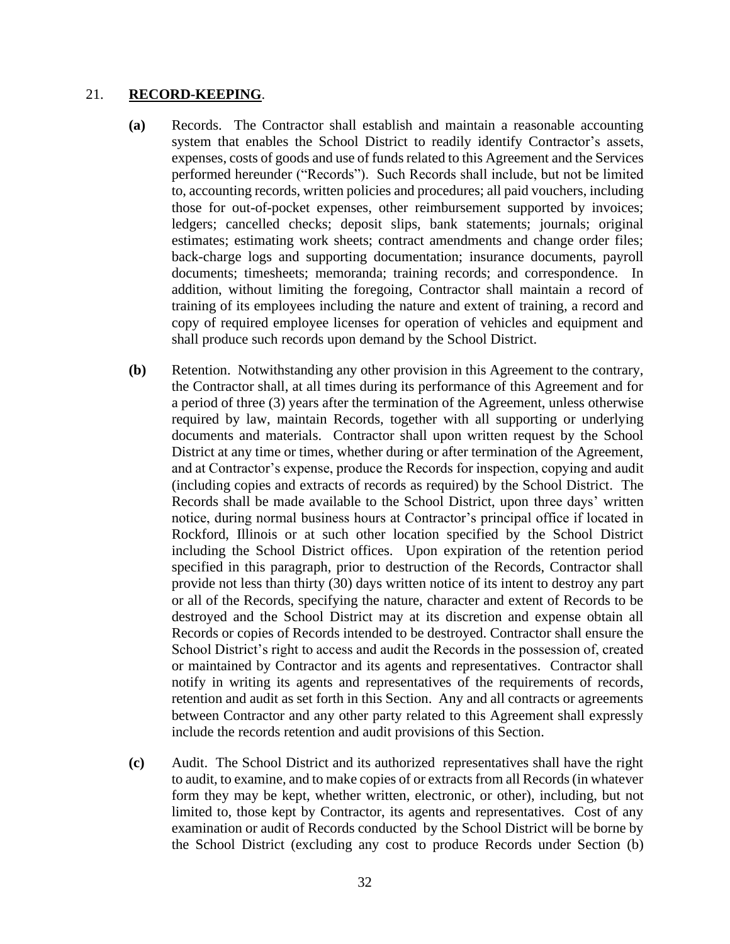#### 21. **RECORD-KEEPING**.

- **(a)** Records. The Contractor shall establish and maintain a reasonable accounting system that enables the School District to readily identify Contractor's assets, expenses, costs of goods and use of funds related to this Agreement and the Services performed hereunder ("Records"). Such Records shall include, but not be limited to, accounting records, written policies and procedures; all paid vouchers, including those for out-of-pocket expenses, other reimbursement supported by invoices; ledgers; cancelled checks; deposit slips, bank statements; journals; original estimates; estimating work sheets; contract amendments and change order files; back-charge logs and supporting documentation; insurance documents, payroll documents; timesheets; memoranda; training records; and correspondence. In addition, without limiting the foregoing, Contractor shall maintain a record of training of its employees including the nature and extent of training, a record and copy of required employee licenses for operation of vehicles and equipment and shall produce such records upon demand by the School District.
- <span id="page-41-0"></span>**(b)** Retention. Notwithstanding any other provision in this Agreement to the contrary, the Contractor shall, at all times during its performance of this Agreement and for a period of three (3) years after the termination of the Agreement, unless otherwise required by law, maintain Records, together with all supporting or underlying documents and materials. Contractor shall upon written request by the School District at any time or times, whether during or after termination of the Agreement, and at Contractor's expense, produce the Records for inspection, copying and audit (including copies and extracts of records as required) by the School District. The Records shall be made available to the School District, upon three days' written notice, during normal business hours at Contractor's principal office if located in Rockford, Illinois or at such other location specified by the School District including the School District offices. Upon expiration of the retention period specified in this paragraph, prior to destruction of the Records, Contractor shall provide not less than thirty (30) days written notice of its intent to destroy any part or all of the Records, specifying the nature, character and extent of Records to be destroyed and the School District may at its discretion and expense obtain all Records or copies of Records intended to be destroyed. Contractor shall ensure the School District's right to access and audit the Records in the possession of, created or maintained by Contractor and its agents and representatives. Contractor shall notify in writing its agents and representatives of the requirements of records, retention and audit as set forth in this Section. Any and all contracts or agreements between Contractor and any other party related to this Agreement shall expressly include the records retention and audit provisions of this Section.
- **(c)** Audit. The School District and its authorized representatives shall have the right to audit, to examine, and to make copies of or extracts from all Records (in whatever form they may be kept, whether written, electronic, or other), including, but not limited to, those kept by Contractor, its agents and representatives. Cost of any examination or audit of Records conducted by the School District will be borne by the School District (excluding any cost to produce Records under Section [\(b\)](#page-41-0)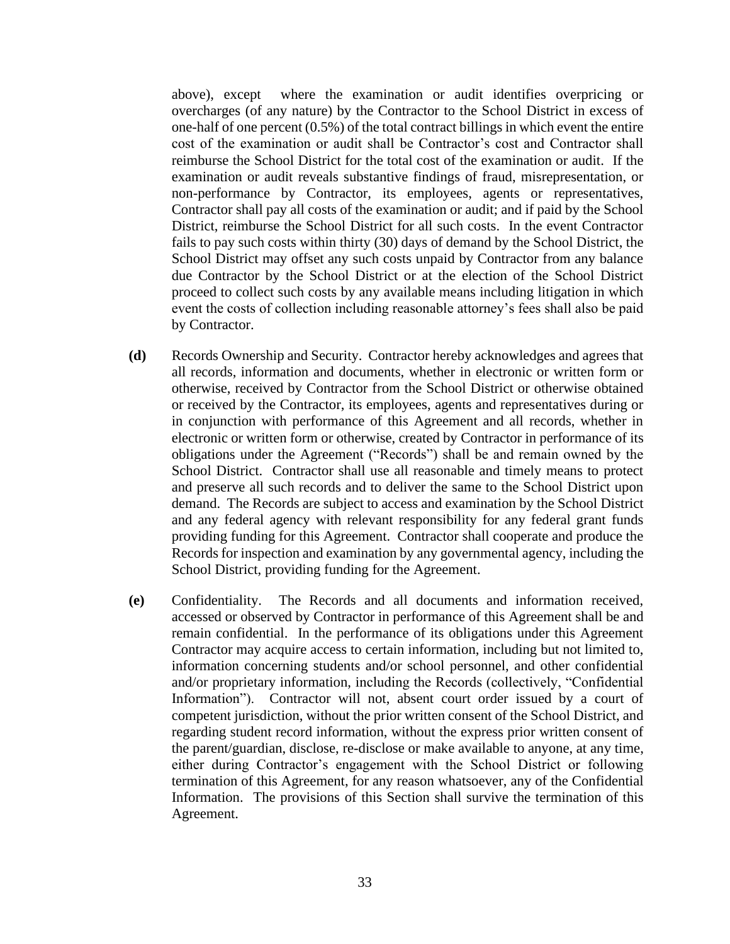above), except where the examination or audit identifies overpricing or overcharges (of any nature) by the Contractor to the School District in excess of one-half of one percent (0.5%) of the total contract billings in which event the entire cost of the examination or audit shall be Contractor's cost and Contractor shall reimburse the School District for the total cost of the examination or audit. If the examination or audit reveals substantive findings of fraud, misrepresentation, or non-performance by Contractor, its employees, agents or representatives, Contractor shall pay all costs of the examination or audit; and if paid by the School District, reimburse the School District for all such costs. In the event Contractor fails to pay such costs within thirty (30) days of demand by the School District, the School District may offset any such costs unpaid by Contractor from any balance due Contractor by the School District or at the election of the School District proceed to collect such costs by any available means including litigation in which event the costs of collection including reasonable attorney's fees shall also be paid by Contractor.

- **(d)** Records Ownership and Security. Contractor hereby acknowledges and agrees that all records, information and documents, whether in electronic or written form or otherwise, received by Contractor from the School District or otherwise obtained or received by the Contractor, its employees, agents and representatives during or in conjunction with performance of this Agreement and all records, whether in electronic or written form or otherwise, created by Contractor in performance of its obligations under the Agreement ("Records") shall be and remain owned by the School District. Contractor shall use all reasonable and timely means to protect and preserve all such records and to deliver the same to the School District upon demand. The Records are subject to access and examination by the School District and any federal agency with relevant responsibility for any federal grant funds providing funding for this Agreement. Contractor shall cooperate and produce the Records for inspection and examination by any governmental agency, including the School District, providing funding for the Agreement.
- **(e)** Confidentiality. The Records and all documents and information received, accessed or observed by Contractor in performance of this Agreement shall be and remain confidential. In the performance of its obligations under this Agreement Contractor may acquire access to certain information, including but not limited to, information concerning students and/or school personnel, and other confidential and/or proprietary information, including the Records (collectively, "Confidential Information"). Contractor will not, absent court order issued by a court of competent jurisdiction, without the prior written consent of the School District, and regarding student record information, without the express prior written consent of the parent/guardian, disclose, re-disclose or make available to anyone, at any time, either during Contractor's engagement with the School District or following termination of this Agreement, for any reason whatsoever, any of the Confidential Information. The provisions of this Section shall survive the termination of this Agreement.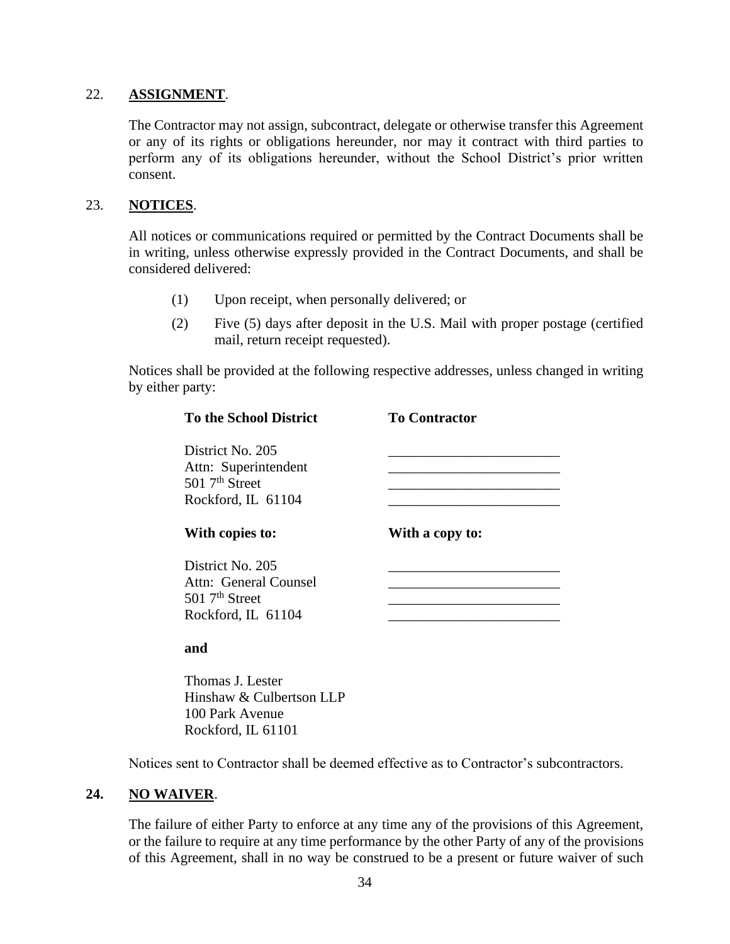## 22. **ASSIGNMENT**.

The Contractor may not assign, subcontract, delegate or otherwise transfer this Agreement or any of its rights or obligations hereunder, nor may it contract with third parties to perform any of its obligations hereunder, without the School District's prior written consent.

## 23. **NOTICES**.

All notices or communications required or permitted by the Contract Documents shall be in writing, unless otherwise expressly provided in the Contract Documents, and shall be considered delivered:

- (1) Upon receipt, when personally delivered; or
- (2) Five (5) days after deposit in the U.S. Mail with proper postage (certified mail, return receipt requested).

Notices shall be provided at the following respective addresses, unless changed in writing by either party:

| <b>To the School District</b>                                                                   | <b>To Contractor</b> |
|-------------------------------------------------------------------------------------------------|----------------------|
| District No. 205<br>Attn: Superintendent<br>$501$ $7th$ Street<br>Rockford, IL 61104            |                      |
| With copies to:                                                                                 | With a copy to:      |
| District No. 205<br>Attn: General Counsel<br>$501$ 7 <sup>th</sup> Street<br>Rockford, IL 61104 |                      |
| ond                                                                                             |                      |

#### **and**

Thomas J. Lester Hinshaw & Culbertson LLP 100 Park Avenue Rockford, IL 61101

Notices sent to Contractor shall be deemed effective as to Contractor's subcontractors.

## **24. NO WAIVER**.

The failure of either Party to enforce at any time any of the provisions of this Agreement, or the failure to require at any time performance by the other Party of any of the provisions of this Agreement, shall in no way be construed to be a present or future waiver of such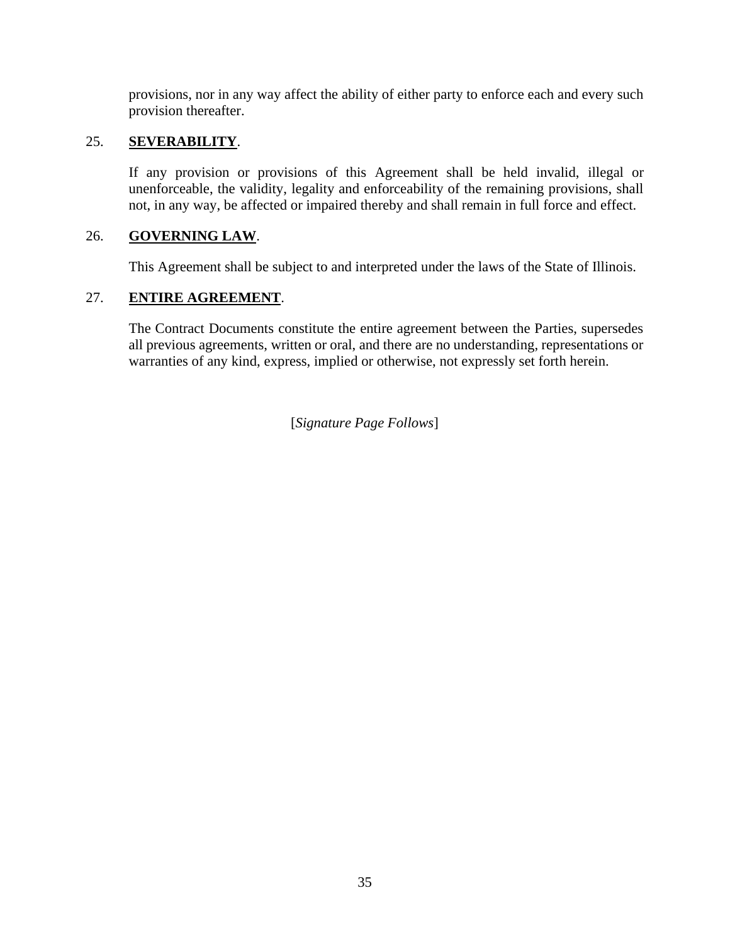provisions, nor in any way affect the ability of either party to enforce each and every such provision thereafter.

# 25. **SEVERABILITY**.

If any provision or provisions of this Agreement shall be held invalid, illegal or unenforceable, the validity, legality and enforceability of the remaining provisions, shall not, in any way, be affected or impaired thereby and shall remain in full force and effect.

# 26. **GOVERNING LAW**.

This Agreement shall be subject to and interpreted under the laws of the State of Illinois.

# 27. **ENTIRE AGREEMENT**.

The Contract Documents constitute the entire agreement between the Parties, supersedes all previous agreements, written or oral, and there are no understanding, representations or warranties of any kind, express, implied or otherwise, not expressly set forth herein.

[*Signature Page Follows*]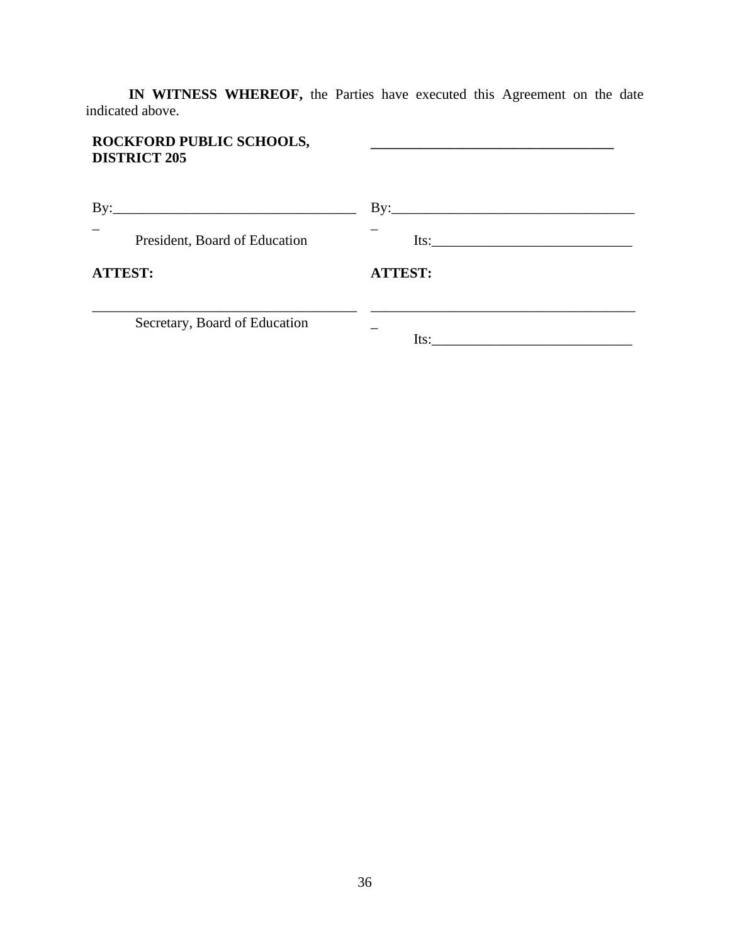**IN WITNESS WHEREOF,** the Parties have executed this Agreement on the date indicated above.

| ROCKFORD PUBLIC SCHOOLS,<br><b>DISTRICT 205</b> |                                |
|-------------------------------------------------|--------------------------------|
|                                                 | $\mathbf{By:}\_\_\_\_\_\_\_\_$ |
| President, Board of Education                   | Its:                           |
| <b>ATTEST:</b>                                  | <b>ATTEST:</b>                 |
| Secretary, Board of Education                   | Its:                           |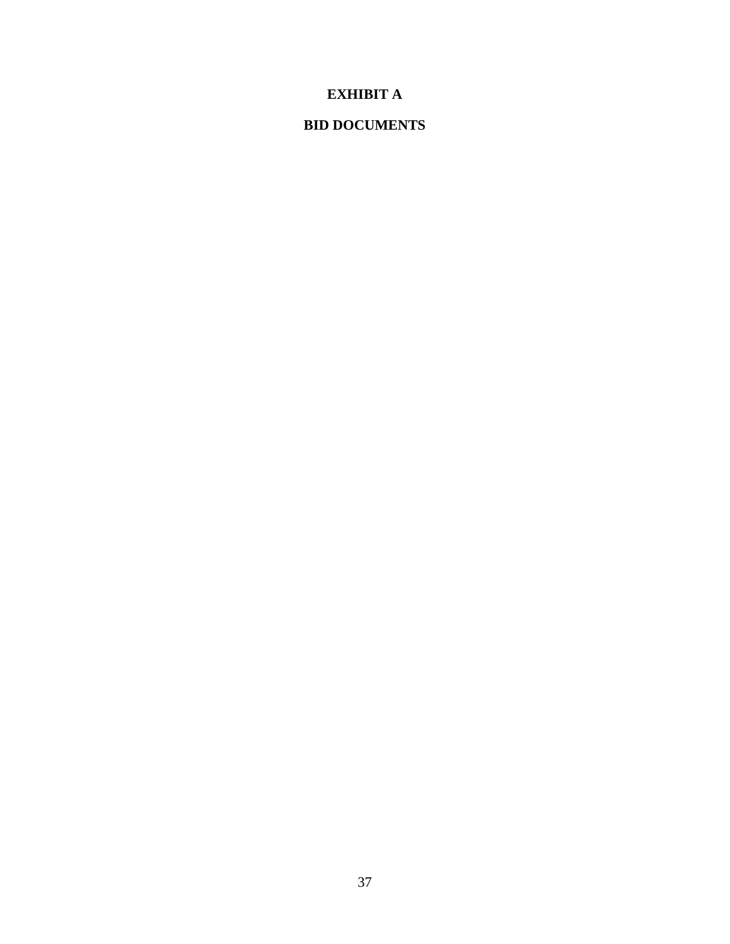# **EXHIBIT A**

# **BID DOCUMENTS**